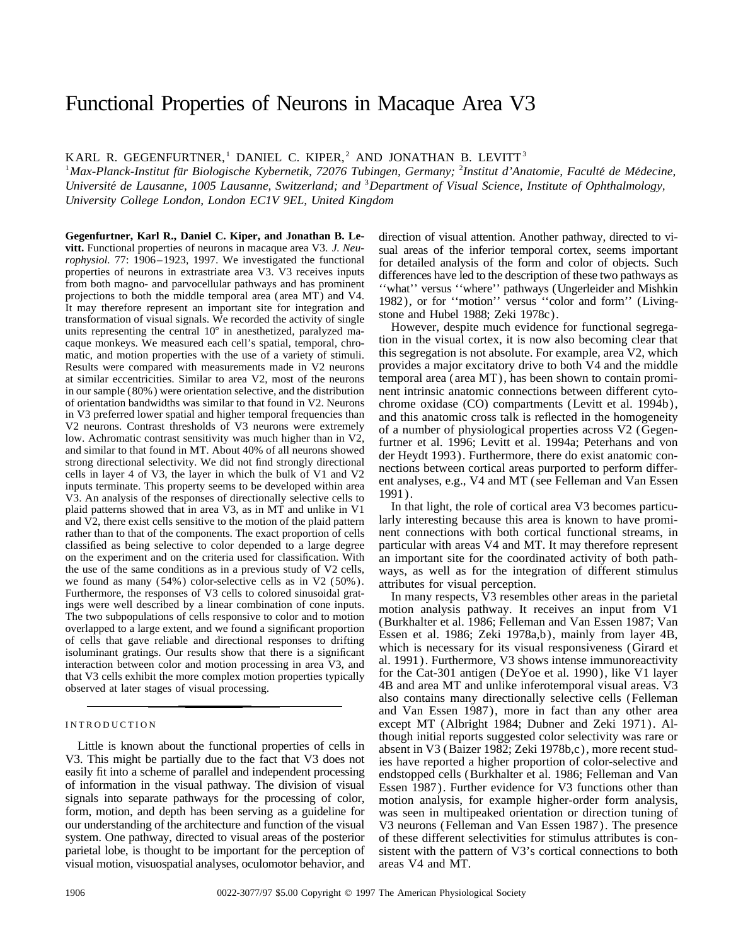# Functional Properties of Neurons in Macaque Area V3

KARL R. GEGENFURTNER,<sup>1</sup> DANIEL C. KIPER,<sup>2</sup> AND JONATHAN B. LEVITT<sup>3</sup>

<sup>1</sup>Max-Planck-Institut für Biologische Kybernetik, 72076 Tubingen, Germany; <sup>2</sup>Institut d'Anatomie, Faculté de Médecine, *Universite´ de Lausanne, 1005 Lausanne, Switzerland; and* <sup>3</sup> *Department of Visual Science, Institute of Ophthalmology, University College London, London EC1V 9EL, United Kingdom*

**Gegenfurtner, Karl R., Daniel C. Kiper, and Jonathan B. Le-** direction of visual attention. Another pathway, directed to vi-<br>vitt. Functional properties of neurons in macaque area V3. J. Neu-<br>sual areas of the inferior te **vitt.** Functional properties of neurons in macaque area V3. J. Neu-<br>
rophysiol. 77: 1906–1923, 1997. We investigated the functional<br>
for detailed analysis of the form and color of objects. Such<br>
properties of neurons in matic, and motion properties with the use of a variety of stimuli. Results were compared with measurements made in V2 neurons provides a major excitatory drive to both V4 and the middle at similar eccentricities. Similar to area V2, most of the neurons temporal area (area MT), has been shown to contain promiin our sample (80%) were orientation selective, and the distribution nent intrinsic anatomic connections between different cyto-<br>of orientation bandwidths was similar to that found in V2. Neurons chrome oxidase (CO) compar of orientation bandwidths was similar to that found in V2. Neurons chrome oxidase (CO) compartments (Levitt et al. 1994b), in V3 preferred lower spatial and higher temporal frequencies than and this anatomic cross talk is in V3 preferred lower spatial and higher temporal frequencies than<br>
V2 neurons. Contrast thresholds of V3 neurons were extremely<br>
low. Achromatic contrast sensitivity was much higher than in V2,<br>
and similar to that found inputs terminate. This property seems to be developed within area  $\frac{1991}{1991}$ .<br>
V3. An analysis of the responses of directionally selective cells to 1991).<br>
plaid patterns showed that in area V3 as in MT and unlike in plaid patterns showed that in area V3, as in MT and unlike in V1 and V2, there exist cells sensitive to the motion of the plaid pattern larly interesting because this area is known to have promirather than to that of the components. The exact proportion of cells nent connections with both cortical functional streams, in classified as being selective to color depended to a large degree particular with areas V4 and on the experiment and on the criteria used for classification. With an important site for the coordinated activity of both path-<br>the use of the same conditions as in a previous study of V2 cells, wavs, as well as for the i the use of the same conditions as in a previous study of V2 cells, ways, as well as for the integration of different stimulus<br>we found as many (54%) color-selective cells as in V2 (50%). attributes for visual perception.<br>F

of information in the visual pathway. The division of visual Essen 1987). Further evidence for V3 functions other than signals into separate pathways for the processing of color, motion analysis, for example higher-order f form, motion, and depth has been serving as a guideline for was seen in multipeaked orientation or direction tuning of our understanding of the architecture and function of the visual V3 neurons (Felleman and Van Essen 198 our understanding of the architecture and function of the visual V3 neurons (Felleman and Van Essen 1987). The presence system. One pathway, directed to visual areas of the posterior of these different selectivities for st parietal lobe, is thought to be important for the perception of visual motion, visuospatial analyses, oculomotor behavior, and areas V4 and MT.

particular with areas V4 and MT. It may therefore represent

that V3 cells exhibit the more complex motion properties typically for the Cat-301 antigen (DeYoe et al. 1990), like V1 layer<br>4B and area MT and unlike inferotemporal visual areas. V3 also contains many directionally selective cells (Felleman and Van Essen 1987), more in fact than any other area INTRODUCTION except MT (Albright 1984; Dubner and Zeki 1971). Al-Little is known about the functional properties of cells in<br>V3. This might be partially due to the fact that V3 does not<br>easily fit into a scheme of parallel and independent processing<br>of information in the visual pathway. of these different selectivities for stimulus attributes is consistent with the pattern of V3's cortical connections to both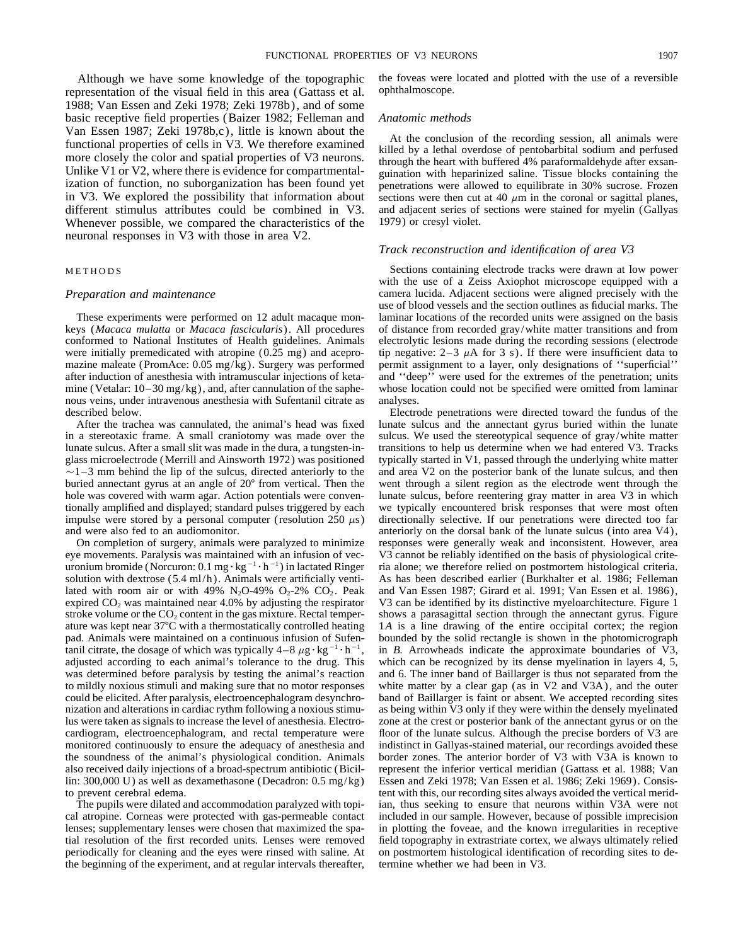representation of the visual field in this area (Gattass et al. 1988; Van Essen and Zeki 1978; Zeki 1978b), and of some basic receptive field properties (Baizer 1982; Felleman and *Anatomic methods* Van Essen 1987; Zeki 1978b,c), little is known about the<br>functional properties of cells in V3. We therefore examined<br>more closely the color and spatial properties of V3 neurons.<br>Unlike V1 or V2, where there is evidence for Whenever possible, we compared the characteristics of the neuronal responses in V3 with those in area V2.

keys (*Macaca mulatta* or *Macaca fascicularis*). All procedures of distance from recorded gray/white matter transitions and from conformed to National Institutes of Health guidelines. Animals electrolytic lesions made during the recording sessions (electrode were initially premedicated with atropine (0.25 mg) and acepro- tip negative:  $2-3 \mu A$  for 3 s). If there were insufficient data to mazine maleate (PromAce: 0.05 mg/kg). Surgery was performed permit assignment to a layer, only designations of ''superficial'' after induction of anesthesia with intramuscular injections of keta- and ''deep'' were used for the extremes of the penetration; units mine (Vetalar: 10–30 mg/kg), and, after cannulation of the saphe- whose location could not be specified were omitted from laminar nous veins, under intravenous anesthesia with Sufentanil citrate as analyses. described below. Electrode penetrations were directed toward the fundus of the

in a stereotaxic frame. A small craniotomy was made over the sulcus. We used the stereotypical sequence of gray/white matter lunate sulcus. After a small slit was made in the dura, a tungsten-in-<br>glass microelectrode (Merrill and Ainsworth 1972) was positioned typically started in V1, passed through the underlying white matter  $\sim$  1–3 mm behind the lip of the sulcus, directed anteriorly to the and area V2 on the posterior bank of the lunate sulcus, and then buried annectant gyrus at an angle of 20° from vertical. Then the went through a silent region as the electrode went through the hole was covered with warm agar. Action potentials were conven- lunate sulcus, before reentering gray matter in area V3 in which tionally amplified and displayed; standard pulses triggered by each we typically encountered brisk responses that were most often impulse were stored by a personal computer (resolution 250  $\mu$ s) directionally selective. If our penetrations were directed too far and were also fed to an audiomonitor. anteriorly on the dorsal bank of the lunate sulcus (into area V4),

eye movements. Paralysis was maintained with an infusion of vec- V3 cannot be reliably identified on the basis of physiological criteuronium bromide (Norcuron: 0.1 mg·kg<sup>-1</sup>·h<sup>-1</sup> solution with dextrose (5.4 ml/h). Animals were artificially venti-<br>As has been described earlier (Burkhalter et al. 1986; Felleman lated with room air or with 49% N<sub>2</sub>O-49% O<sub>2</sub>-2% CO<sub>2</sub>. Peak and Van Essen 1987; Girard et al. 1991; Van Essen et al. 1986), expired CO<sub>2</sub> was maintained near 4.0% by adjusting the respirator V3 can be identified by its stroke volume or the  $CO_2$  content in the gas mixture. Rectal temper-<br>ature was kept near  $37^{\circ}$ C with a thermostatically controlled heating 1A is a line drawing of the entire occipital cortex; the region pad. Animals were maintained on a continuous infusion of Sufen- bounded by the solid rectangle is shown in the photomicrograph tanil citrate, the dosage of which was typically  $4-8 \mu g \cdot kg^{-1} \cdot h^{-1}$ , in *B*. Arrowheads indicate the approximate boundaries of V3, adjusted according to each animal's tolerance to the drug. This which can be recognized by its dense myelination in layers 4, 5, was determined before paralysis by testing the animal's reaction and 6. The inner band of Baillarger is thus not separated from the to mildly noxious stimuli and making sure that no motor responses white matter by a clear gap (as in V2 and V3A), and the outer could be elicited. After paralysis, electroencephalogram desynchro- band of Baillarger is faint or absent. We accepted recording sites nization and alterations in cardiac rythm following a noxious stimu- as being within V3 only if they were within the densely myelinated lus were taken as signals to increase the level of anesthesia. Electro- zone at the crest or posterior bank of the annectant gyrus or on the cardiogram, electroencephalogram, and rectal temperature were floor of the lunate sulcus. Although the precise borders of V3 are monitored continuously to ensure the adequacy of anesthesia and indistinct in Gallyas-stained material, our recordings avoided these the soundness of the animal's physiological condition. Animals border zones. The anterior border of V3 with V3A is known to also received daily injections of a broad-spectrum antibiotic (Bicil- represent the inferior vertical meridian (Gattass et al. 1988; Van lin: 300,000 U) as well as dexamethasone (Decadron: 0.5 mg/kg) Essen and Zeki 1978; Van Essen et al. 1986; Zeki 1969). Consistent with this, our recording sites always avoided the vertical merid-

the beginning of the experiment, and at regular intervals thereafter, termine whether we had been in V3.

Although we have some knowledge of the topographic the foveas were located and plotted with the use of a reversible presentation of the visual field in this area (Gattass et al. ophthalmoscope.

in V3. We explored the possibility that information about sections were then cut at 40  $\mu$ m in the coronal or sagittal planes, different stimulus attributes could be combined in V3. and adjacent series of sections were stained for myelin (Gallyas Whenever possible, we compared the characteristics of the 1979) or cresyl violet.

# *Track reconstruction and identification of area V3*

METHODS Sections containing electrode tracks were drawn at low power with the use of a Zeiss Axiophot microscope equipped with a *Preparation and maintenance* camera lucida. Adjacent sections were aligned precisely with the use of blood vessels and the section outlines as fiducial marks. The These experiments were performed on 12 adult macaque mon- laminar locations of the recorded units were assigned on the basis

After the trachea was cannulated, the animal's head was fixed lunate sulcus and the annectant gyrus buried within the lunate typically started in V1, passed through the underlying white matter On completion of surgery, animals were paralyzed to minimize responses were generally weak and inconsistent. However, area ria alone; we therefore relied on postmortem histological criteria. V3 can be identified by its distinctive myeloarchitecture. Figure 1 1A is a line drawing of the entire occipital cortex; the region The pupils were dilated and accommodation paralyzed with topi- ian, thus seeking to ensure that neurons within V3A were not cal atropine. Corneas were protected with gas-permeable contact included in our sample. However, because of possible imprecision lenses; supplementary lenses were chosen that maximized the spa- in plotting the foveae, and the known irregularities in receptive tial resolution of the first recorded units. Lenses were removed field topography in extrastriate cortex, we always ultimately relied periodically for cleaning and the eyes were rinsed with saline. At on postmortem histological identification of recording sites to de-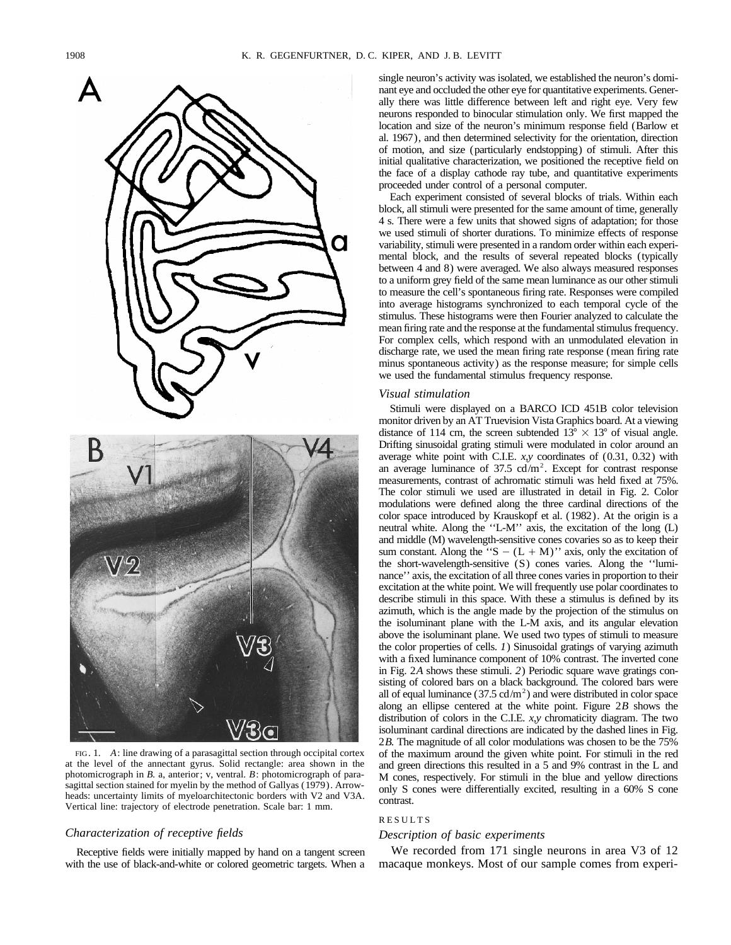

at the level of the annectant gyrus. Solid rectangle: area shown in the and green directions this resulted in a 5 and 9% contrast in the L and photomicrograph in B. a, anterior; v, ventral. B: photomicrograph of para-<br>sagi

# *Characterization of receptive fields Description of basic experiments*

single neuron's activity was isolated, we established the neuron's dominant eye and occluded the other eye for quantitative experiments. Generally there was little difference between left and right eye. Very few neurons responded to binocular stimulation only. We first mapped the location and size of the neuron's minimum response field (Barlow et al. 1967), and then determined selectivity for the orientation, direction of motion, and size (particularly endstopping) of stimuli. After this initial qualitative characterization, we positioned the receptive field on the face of a display cathode ray tube, and quantitative experiments proceeded under control of a personal computer.

Each experiment consisted of several blocks of trials. Within each block, all stimuli were presented for the same amount of time, generally 4 s. There were a few units that showed signs of adaptation; for those we used stimuli of shorter durations. To minimize effects of response variability, stimuli were presented in a random order within each experimental block, and the results of several repeated blocks (typically between 4 and 8) were averaged. We also always measured responses to a uniform grey field of the same mean luminance as our other stimuli to measure the cell's spontaneous firing rate. Responses were compiled into average histograms synchronized to each temporal cycle of the stimulus. These histograms were then Fourier analyzed to calculate the mean firing rate and the response at the fundamental stimulus frequency. For complex cells, which respond with an unmodulated elevation in discharge rate, we used the mean firing rate response (mean firing rate minus spontaneous activity) as the response measure; for simple cells we used the fundamental stimulus frequency response.

### *Visual stimulation*

Stimuli were displayed on a BARCO ICD 451B color television monitor driven by an AT Truevision Vista Graphics board. At a viewing distance of 114 cm, the screen subtended  $13^{\circ} \times 13^{\circ}$  of visual angle. Drifting sinusoidal grating stimuli were modulated in color around an average white point with C.I.E. *x,y* coordinates of (0.31, 0.32) with an average luminance of  $37.5$  cd/m<sup>2</sup>. Except for contrast response measurements, contrast of achromatic stimuli was held fixed at 75%. The color stimuli we used are illustrated in detail in Fig. 2. Color modulations were defined along the three cardinal directions of the color space introduced by Krauskopf et al. (1982). At the origin is a neutral white. Along the ''L-M'' axis, the excitation of the long (L) and middle (M) wavelength-sensitive cones covaries so as to keep their sum constant. Along the " $S - (L + M)$ " axis, only the excitation of the short-wavelength-sensitive (S) cones varies. Along the ''luminance'' axis, the excitation of all three cones varies in proportion to their excitation at the white point. We will frequently use polar coordinates to describe stimuli in this space. With these a stimulus is defined by its azimuth, which is the angle made by the projection of the stimulus on the isoluminant plane with the L-M axis, and its angular elevation above the isoluminant plane. We used two types of stimuli to measure the color properties of cells. *1*) Sinusoidal gratings of varying azimuth with a fixed luminance component of 10% contrast. The inverted cone in Fig. 2*A* shows these stimuli. *2*) Periodic square wave gratings consisting of colored bars on a black background. The colored bars were all of equal luminance  $(37.5 \text{ cd/m}^2)$  and were distributed in color space along an ellipse centered at the white point. Figure 2*B* shows the distribution of colors in the C.I.E. *x,y* chromaticity diagram. The two isoluminant cardinal directions are indicated by the dashed lines in Fig. 2*B.* The magnitude of all color modulations was chosen to be the 75% FIG. 1. *A*: line drawing of a parasagittal section through occipital cortex of the maximum around the given white point. For stimuli in the red at the level of the annectant gyrus. Solid rectangle: area shown in the and g

# RESULTS

Receptive fields were initially mapped by hand on a tangent screen We recorded from 171 single neurons in area V3 of 12 with the use of black-and-white or colored geometric targets. When a macaque monkeys. Most of our sample comes from experi-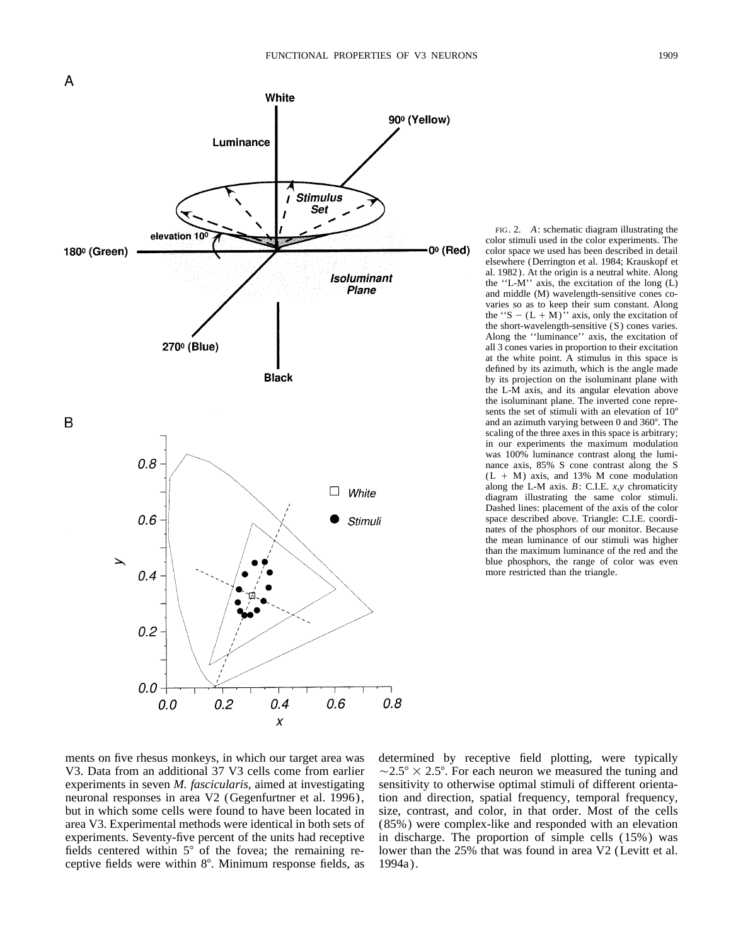

FIG. 2. *A*: schematic diagram illustrating the color stimuli used in the color experiments. The color space we used has been described in detail elsewhere (Derrington et al. 1984; Krauskopf et al. 1982). At the origin is a neutral white. Along the ''L-M'' axis, the excitation of the long (L) and middle (M) wavelength-sensitive cones covaries so as to keep their sum constant. Along the " $S - (L + M)$ " axis, only the excitation of the short-wavelength-sensitive (S) cones varies. Along the ''luminance'' axis, the excitation of all 3 cones varies in proportion to their excitation at the white point. A stimulus in this space is defined by its azimuth, which is the angle made by its projection on the isoluminant plane with the L-M axis, and its angular elevation above the isoluminant plane. The inverted cone represents the set of stimuli with an elevation of  $10^{\circ}$ and an azimuth varying between  $0$  and  $360^\circ$ . The scaling of the three axes in this space is arbitrary; in our experiments the maximum modulation was 100% luminance contrast along the luminance axis, 85% S cone contrast along the S  $(L + M)$  axis, and 13% M cone modulation along the L-M axis. *B*: C.I.E. *x,y* chromaticity diagram illustrating the same color stimuli. Dashed lines: placement of the axis of the color space described above. Triangle: C.I.E. coordinates of the phosphors of our monitor. Because the mean luminance of our stimuli was higher than the maximum luminance of the red and the blue phosphors, the range of color was even more restricted than the triangle.

V3. Data from an additional 37 V3 cells come from earlier  $\sim 2.5^\circ \times 2.5^\circ$ . For each neuron we measured the tuning and experiments in seven *M. fascicularis*, aimed at investigating sensitivity to otherwise optimal stimuli of different orientaneuronal responses in area V2 (Gegenfurtner et al. 1996), tion and direction, spatial frequency, temporal frequency, but in which some cells were found to have been located in size, contrast, and color, in that order. Most of the cells area V3. Experimental methods were identical in both sets of (85%) were complex-like and responded with an elevation experiments. Seventy-five percent of the units had receptive in discharge. The proportion of simple cells (15%) was fields centered within  $5^\circ$  of the fovea; the remaining re- lower than the 25% that was found in area V2 (Levitt et al. ceptive fields were within 8°. Minimum response fields, as 1994a).

ments on five rhesus monkeys, in which our target area was determined by receptive field plotting, were typically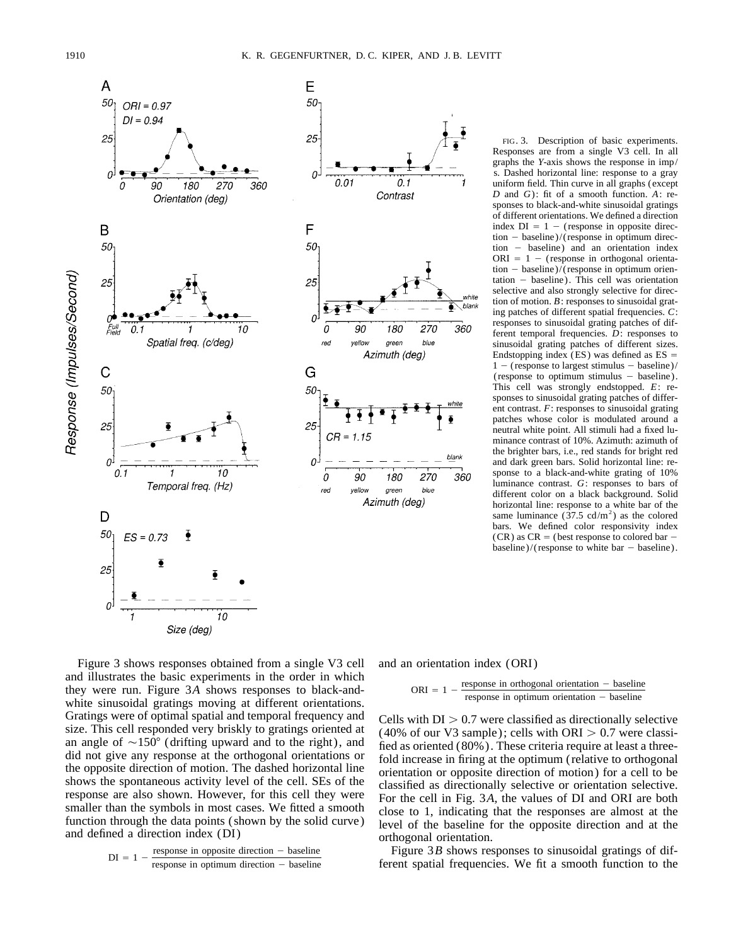

FIG. 3. Description of basic experiments. Responses are from a single V3 cell. In all graphs the *Y*-axis shows the response in imp/ s. Dashed horizontal line: response to a gray uniform field. Thin curve in all graphs (except *D* and *G*): fit of a smooth function. *A*: responses to black-and-white sinusoidal gratings of different orientations. We defined a direction index  $DI = 1 -$  (response in opposite direc $tion - baseline)/(response in optimum direction$  $tion - baseline)$  and an orientation index  $ORI = 1 -$  (response in orthogonal orienta $tion - baseline)/(response in optimum orien$  $tation - baseline)$ . This cell was orientation selective and also strongly selective for direction of motion. *B*: responses to sinusoidal grating patches of different spatial frequencies. *C*: responses to sinusoidal grating patches of different temporal frequencies. *D*: responses to sinusoidal grating patches of different sizes. Endstopping index  $(ES)$  was defined as  $ES =$  $1 - ($  response to largest stimulus  $-$  baseline)/ (response to optimum stimulus  $-$  baseline). This cell was strongly endstopped. *E*: responses to sinusoidal grating patches of different contrast. *F*: responses to sinusoidal grating patches whose color is modulated around a neutral white point. All stimuli had a fixed luminance contrast of 10%. Azimuth: azimuth of the brighter bars, i.e., red stands for bright red and dark green bars. Solid horizontal line: response to a black-and-white grating of 10% luminance contrast. *G*: responses to bars of different color on a black background. Solid horizontal line: response to a white bar of the same luminance  $(37.5 \text{ cd/m}^2)$  as the colored bars. We defined color responsivity index (CR) as  $CR =$  (best response to colored bar  $$ baseline)/(response to white bar  $-$  baseline).

Figure 3 shows responses obtained from a single V3 cell and an orientation index (ORI) and illustrates the basic experiments in the order in which they were run. Figure 3A shows responses to black-andwhite sinusoidal gratings moving at different orientations. Gratings were of optimal spatial and temporal frequency and<br>size. This cell responded very briskly to gratings oriented at<br>an angle of  $\sim$ 150° (drifting upward and to the right), and<br>fied as oriented (80%) These criteria an angle of  $\sim$  150° (drifting upward and to the right), and<br>di not give any response at the orthogonal orientations or<br>the opposite direction of motion. The dashed horizontal line<br>shows the spontaneous activity level of

$$
DI = 1 - \frac{response in opposite direction - baseline}{response in optimum direction - baseline}
$$

$$
ORI = 1 - \frac{response in orthogonal orientation - baseline}{response in optimum orientation - baseline}
$$

response are also shown. However, for this cell they were<br>smaller than the symbols in most cases. We fitted a smooth<br>function through the data points (shown by the solid curve)<br>and defined a direction index (DI)<br>discusses.

 $DI = 1 - \frac{\text{response in opposite direction} - \text{baseline}}{1 - \frac{\text{response in opposite direction}}{1 - \text{baseline}}$  Figure 3*B* shows responses to sinusoidal gratings of different spatial frequencies. We fit a smooth function to the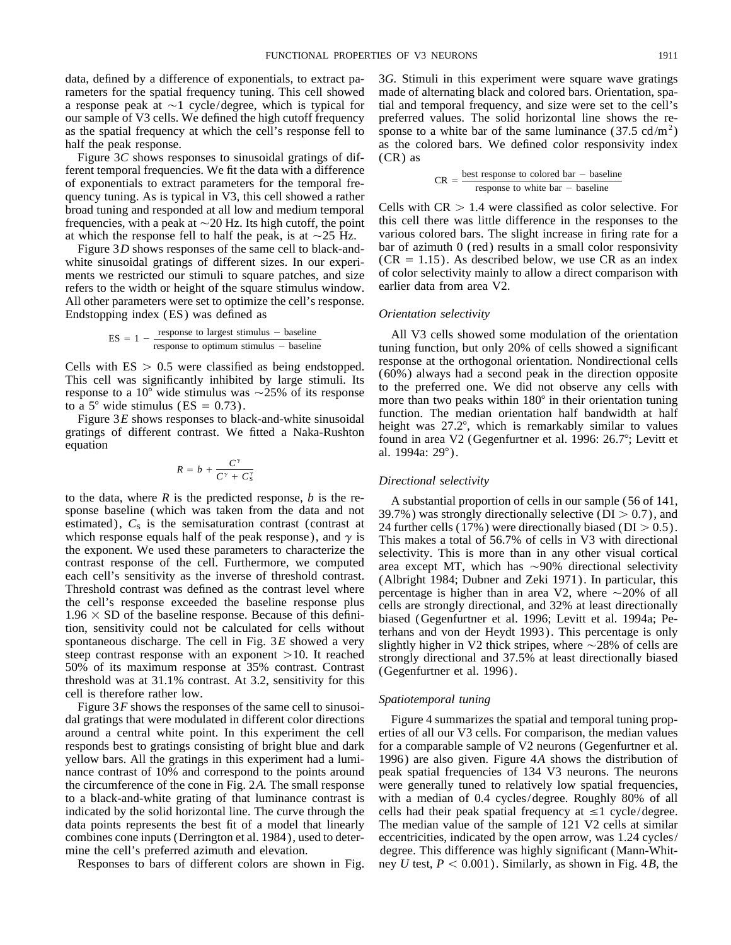data, defined by a difference of exponentials, to extract pa- 3*G.* Stimuli in this experiment were square wave gratings as the spatial frequency at which the cell's response fell to

Figure  $3C$  shows responses to sinusoidal gratings of dif-  $(CR)$  as ferent temporal frequencies. We fit the data with a difference of exponentials to extract parameters for the temporal frequency tuning. As is typical in V3, this cell showed a rather broad tuning and responded at all low and medium temporal Cells with CR  $> 1.4$  were classified as color selective. For frequencies with a neak at  $\sim$ 20 Hz. Its high cutoff the point this cell there was little difference frequencies, with a peak at  $\sim$  20 Hz. Its high cutoff, the point

ments we restricted our stimuli to square patches, and size of color selectivity mainly refers to the width or height of the square stimulus window earlier data from area V2. refers to the width or height of the square stimulus window. All other parameters were set to optimize the cell's response. Endstopping index (ES) was defined as *Orientation selectivity*

$$
ES = 1 - \frac{response \text{ to largest stimulus} - baseline}{response \text{ to optimum stimulus} - baseline}
$$

$$
R = b + \frac{C^{\gamma}}{C^{\gamma} + C^{\gamma}_{\rm s}}
$$

to the data, where R is the predicted response, b is the re-<br>sponse baseline (which was taken from the data and not<br>strongly directionally selective (DI > 0.7), and<br>estimated),  $C_s$  is the semisaturation contrast (contras the exponent. We used these parameters to characterize the<br>contrast response of the cell. Furthermore, we computed<br>each cell's sensitivity as the inverse of threshold contrast.<br>Threshold contrast was defined as the contra the cell's response exceeded the baseline response plus<br>1.96  $\times$  SD of the baseline response. Because of this defini-<br>1.96  $\times$  SD of the baseline response. Because of this defini-<br>1.96  $\times$  SD of the baseline response. spontaneous discharge. The cell in Fig. 3E showed a very slightly higher in V2 thick stripes, where  $\sim$ 28% of cells are steep contrast response with an exponent >10. It reached strongly directional and 37.5% at least dir

cell is therefore rather low.<br>*Figure 3F* shows the responses of the same cell to sinusoi-<br>*Spatiotemporal tuning* dal gratings that were modulated in different color directions Figure 4 summarizes the spatial and temporal tuning propresponds best to gratings consisting of bright blue and dark for a comparable sample of V2 neurons (Gegenfurtner et al. yellow bars. All the gratings in this experiment had a lumi- 1996) are also given. Figure 4*A* shows the distribution of nance contrast of 10% and correspond to the points around peak spatial frequencies of 134 V3 neurons. The neurons the circumference of the cone in Fig. 2*A.* The small response were generally tuned to relatively low spatial frequencies, to a black-and-white grating of that luminance contrast is with a median of 0.4 cycles/degree. Roughly 80% of all mine the cell's preferred azimuth and elevation. degree. This difference was highly significant (Mann-Whit-

rameters for the spatial frequency tuning. This cell showed made of alternating black and colored bars. Orientation, spaa response peak at  $\sim$ 1 cycle/degree, which is typical for tial and temporal frequency, and size were set to the cell's our sample of V3 cells. We defined the high cutoff frequency preferred values. The solid horizontal line shows the response to a white bar of the same luminance  $(37.5 \text{ cd/m}^2)$ half the peak response. As the colored bars. We defined color responsivity index

$$
CR = \frac{\text{best response to colored bar} - \text{baseline}}{\text{response to white bar} - \text{baseline}}
$$

at which the response fell to half the peak, is at  $\sim$  25 Hz. various colored bars. The slight increase in firing rate for a<br>Figure 3D shows responses of the same cell to black-and-<br>bar of azimuth 0 (red) results in a sm Figure 3*D* shows responses of the same cell to black-and-<br>bar of azimuth 0 (red) results in a small color responsivity<br>ite sinusoidal gratings of different sizes. In our experi-<br> $CR = 1.15$ ). As described below, we use CR white sinusoidal gratings of different sizes. In our experi-  $CR = 1.15$ . As described below, we use CR as an index ments we restricted our stimuli to square patches, and size of color selectivity mainly to allow a direct c

All V3 cells showed some modulation of the orientation tuning function, but only 20% of cells showed a significant Cells with ES > 0.5 were classified as being endstopped.<br>
This cell was significantly inhibited by large stimuli. Its<br>
response at the orthogonal orientation. Nondirectional cells<br>
response to a 10° wide stimulus was ~25%

### *Directional selectivity*

around a central white point. In this experiment the cell erties of all our V3 cells. For comparison, the median values indicated by the solid horizontal line. The curve through the cells had their peak spatial frequency at  $\leq 1$  cycle/degree. data points represents the best fit of a model that linearly The median value of the sample of 121 V2 cells at similar combines cone inputs (Derrington et al. 1984), used to deter- eccentricities, indicated by the open arrow, was 1.24 cycles/ Responses to bars of different colors are shown in Fig. ney *U* test,  $P < 0.001$ ). Similarly, as shown in Fig. 4*B*, the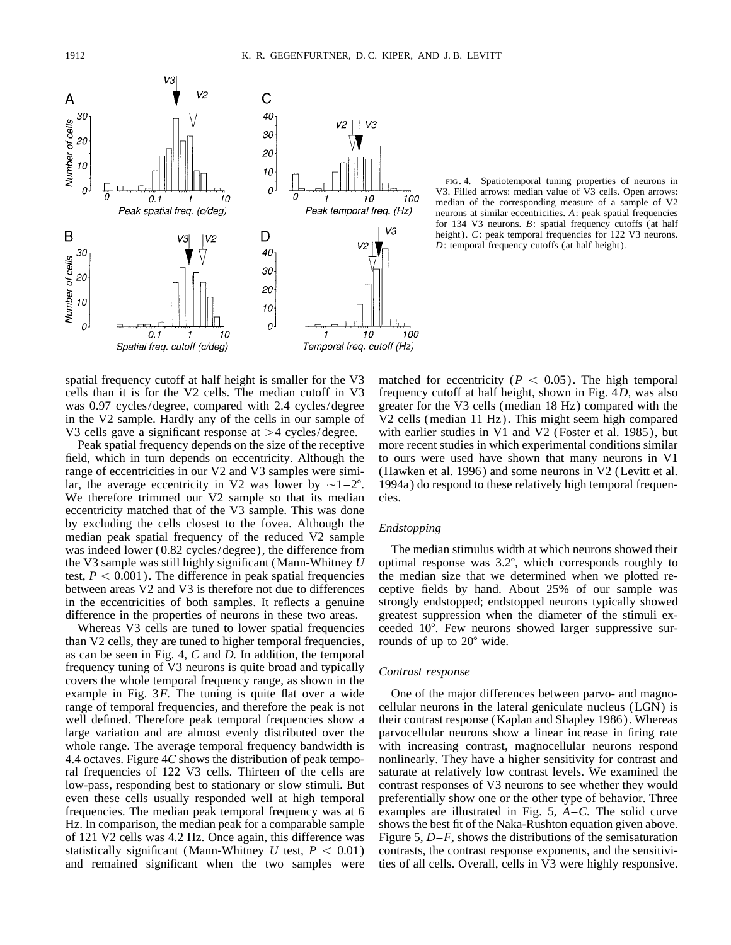

We therefore trimmed our V2 sample so that its median cies. eccentricity matched that of the V3 sample. This was done by excluding the cells closest to the fovea. Although the *Endstopping* median peak spatial frequency of the reduced V2 sample was indeed lower (0.82 cycles/degree), the difference from The median stimulus width at which neurons showed their

than V2 cells, they are tuned to higher temporal frequencies, rounds of up to  $20^{\circ}$  wide. as can be seen in Fig. 4, *C* and *D.* In addition, the temporal frequency tuning of V3 neurons is quite broad and typically *Contrast response* covers the whole temporal frequency range, as shown in the example in Fig. 3*F*. The tuning is quite flat over a wide One of the major differences between parvo- and magnorange of temporal frequencies, and therefore the peak is not cellular neurons in the lateral geniculate nucleus (LGN) is well defined. Therefore peak temporal frequencies show a their contrast response (Kaplan and Shapley 1986). Whereas large variation and are almost evenly distributed over the parvocellular neurons show a linear increase in firing rate whole range. The average temporal frequency bandwidth is with increasing contrast, magnocellular neurons respond 4.4 octaves. Figure 4*C* shows the distribution of peak tempo- nonlinearly. They have a higher sensitivity for contrast and ral frequencies of 122 V3 cells. Thirteen of the cells are saturate at relatively low contrast levels. We examined the low-pass, responding best to stationary or slow stimuli. But contrast responses of V3 neurons to see whether they would even these cells usually responded well at high temporal preferentially show one or the other type of behavior. Three frequencies. The median peak temporal frequency was at 6 examples are illustrated in Fig. 5, *A–C.* The solid curve Hz. In comparison, the median peak for a comparable sample shows the best fit of the Naka-Rushton equation given above. of 121 V2 cells was 4.2 Hz. Once again, this difference was Figure 5, *D–F,* shows the distributions of the semisaturation statistically significant (Mann-Whitney  $U$  test,  $P < 0.01$ ) contrasts, the contrast response exponents, and the sensitiviand remained significant when the two samples were ties of all cells. Overall, cells in V3 were highly responsive.

FIG. 4. Spatiotemporal tuning properties of neurons in V3. Filled arrows: median value of V3 cells. Open arrows: median of the corresponding measure of a sample of V2 neurons at similar eccentricities. *A*: peak spatial frequencies for 134 V3 neurons. *B*: spatial frequency cutoffs (at half height). *C*: peak temporal frequencies for 122 V3 neurons. *D*: temporal frequency cutoffs (at half height).

spatial frequency cutoff at half height is smaller for the V3 matched for eccentricity ( $P < 0.05$ ). The high temporal cells than it is for the V2 cells. The median cutoff in V3 frequency cutoff at half height, shown in Fig. 4*D,* was also was 0.97 cycles/degree, compared with 2.4 cycles/degree greater for the V3 cells (median 18 Hz) compared with the in the V2 sample. Hardly any of the cells in our sample of V2 cells (median 11 Hz). This might seem high compared V3 cells gave a significant response at  $>4$  cycles/degree. with earlier studies in V1 and V2 (Foster et al. 1985), but Peak spatial frequency depends on the size of the receptive more recent studies in which experimental conditions similar field, which in turn depends on eccentricity. Although the to ours were used have shown that many neurons in V1 range of eccentricities in our V2 and V3 samples were simi- (Hawken et al. 1996) and some neurons in V2 (Levitt et al. lar, the average eccentricity in V2 was lower by  $\sim 1-2^{\circ}$ . 1994a) do respond to these relatively high temporal frequen-

the V3 sample was still highly significant (Mann-Whitney *U* optimal response was 3.27, which corresponds roughly to test,  $P < 0.001$ ). The difference in peak spatial frequencies the median size that we determined when we plotted rebetween areas V2 and V3 is therefore not due to differences ceptive fields by hand. About 25% of our sample was in the eccentricities of both samples. It reflects a genuine strongly endstopped; endstopped neurons typically showed difference in the properties of neurons in these two areas. greatest suppression when the diameter of the stimuli ex-Whereas V3 cells are tuned to lower spatial frequencies ceeded 10°. Few neurons showed larger suppressive sur-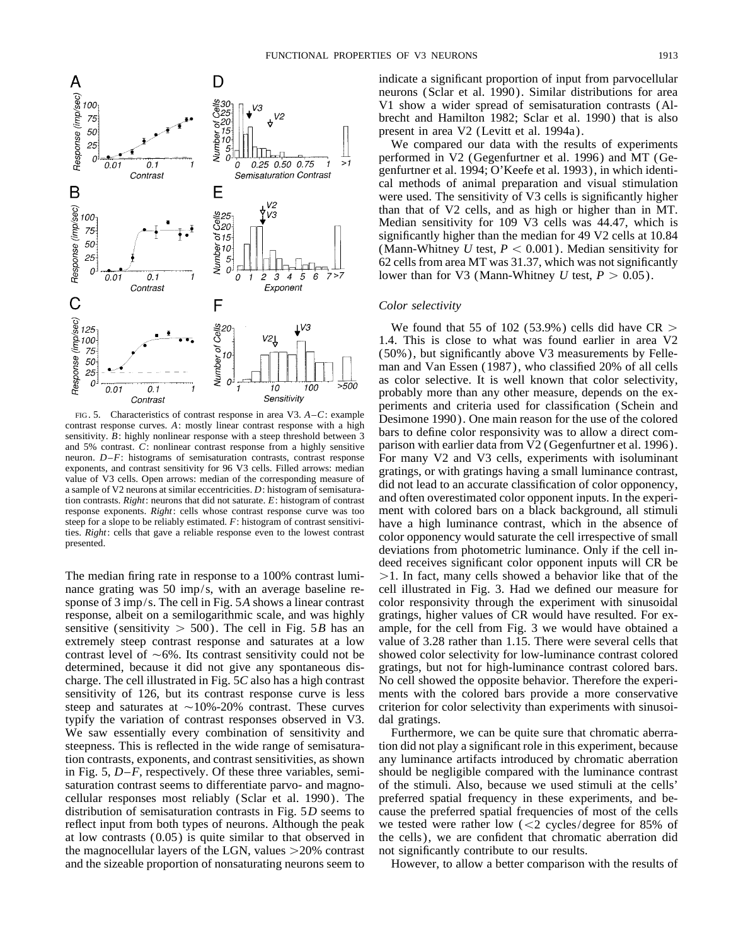

Response (imp/sec) **D** 

 $\overline{B}$ 

Response (imp/sec)

 $\mathbf C$ 



nance grating was 50 imp/s, with an average baseline re- cell illustrated in Fig. 3. Had we defined our measure for sponse of 3 imp/s. The cell in Fig. 5*A* shows a linear contrast color responsivity through the experiment with sinusoidal response, albeit on a semilogarithmic scale, and was highly gratings, higher values of CR would have resulted. For exsensitive (sensitivity  $> 500$ ). The cell in Fig. 5*B* has an ample, for the cell from Fig. 3 we would have obtained a extremely steep contrast response and saturates at a low value of 3.28 rather than 1.15. There were several cells that contrast level of  $\sim 6\%$ . Its contrast sensitivity could not be showed color selectivity for low-luminance contrast colored determined, because it did not give any spontaneous dis-<br>gratings, but not for high-luminance contrast colored bars. charge. The cell illustrated in Fig. 5*C* also has a high contrast No cell showed the opposite behavior. Therefore the experisensitivity of 126, but its contrast response curve is less ments with the colored bars provide a more conservative steep and saturates at  $\sim$ 10%-20% contrast. These curves criterion for color selectivity than experiments with sinusoitypify the variation of contrast responses observed in V3. dal gratings. We saw essentially every combination of sensitivity and Furthermore, we can be quite sure that chromatic aberrasteepness. This is reflected in the wide range of semisatura- tion did not play a significant role in this experiment, because tion contrasts, exponents, and contrast sensitivities, as shown any luminance artifacts introduced by chromatic aberration in Fig. 5, *D–F,* respectively. Of these three variables, semi- should be negligible compared with the luminance contrast saturation contrast seems to differentiate parvo- and magno- of the stimuli. Also, because we used stimuli at the cells' cellular responses most reliably (Sclar et al. 1990). The preferred spatial frequency in these experiments, and bedistribution of semisaturation contrasts in Fig. 5*D* seems to cause the preferred spatial frequencies of most of the cells reflect input from both types of neurons. Although the peak we tested were rather low  $\langle \langle 2 \rangle$  cycles/degree for 85% of at low contrasts (0.05) is quite similar to that observed in the cells), we are confident that chromatic aberration did the magnocellular layers of the LGN, values  $>20\%$  contrast not significantly contribute to our results. and the sizeable proportion of nonsaturating neurons seem to However, to allow a better comparison with the results of

indicate a significant proportion of input from parvocellular neurons (Sclar et al. 1990). Similar distributions for area V1 show a wider spread of semisaturation contrasts (Al-

present in area V2 (Levitt et al. 1994a). We compared our data with the results of experiments performed in V2 (Gegenfurtner et al. 1996) and MT (Gegenfurtner et al. 1994; O'Keefe et al. 1993), in which identical methods of animal preparation and visual stimulation were used. The sensitivity of V3 cells is significantly higher than that of V2 cells, and as high or higher than in MT. Median sensitivity for 109 V3 cells was 44.47, which is significantly higher than the median for 49 V2 cells at 10.84 (Mann-Whitney *U* test,  $P < 0.001$ ). Median sensitivity for 62 cells from area MT was 31.37, which was not significantly lower than for V3 (Mann-Whitney *U* test,  $P > 0.05$ ).

brecht and Hamilton 1982; Sclar et al. 1990) that is also

### *Color selectivity*

We found that 55 of 102 (53.9%) cells did have  $CR >$ 1.4. This is close to what was found earlier in area V2 (50%), but significantly above V3 measurements by Felleman and Van Essen (1987), who classified 20% of all cells as color selective. It is well known that color selectivity, probably more than any other measure, depends on the ex-Contrast<br>
FIG. 5. Characteristics of contrast response in area V3. A–C: example<br>
experiments and criteria used for classification (Schein and<br>
contrast response curves. A: mostly linear contrast response with a high<br>
sensi and 5% contrast. *C*: nonlinear contrast response from a highly sensitive parison with earlier data from V2 (Gegenfurtner et al. 1996). neuron. *D–F*: histograms of semisaturation contrasts, contrast response For many V2 and V3 cells, experiments with isoluminant exponents, and contrast sensitivity for 96 V3 cells. Filled arrows: median gratings or with gr exponents, and contrast sensitivity for 96 V3 cells. Filled arrows: median<br>value of V3 cells. Open arrows: median of the corresponding measure of<br>a sample of V2 neurons at similar eccentricities. D: histogram of semisatura response exponents. *Right*: cells whose contrast response curve was too ment with colored bars on a black background, all stimuli steep for a slope to be reliably estimated. F: histogram of contrast sensitivi-<br>have a high steep for a slope to be reliably estimated. F: histogram of contrast sensitivi-<br>ties. Right: cells that gave a reliable response even to the lowest contrast<br>presented.<br>deviations from photometric luminance. Only if the cel deed receives significant color opponent inputs will CR be The median firing rate in response to a 100% contrast lumi- $>1$ . In fact, many cells showed a behavior like that of the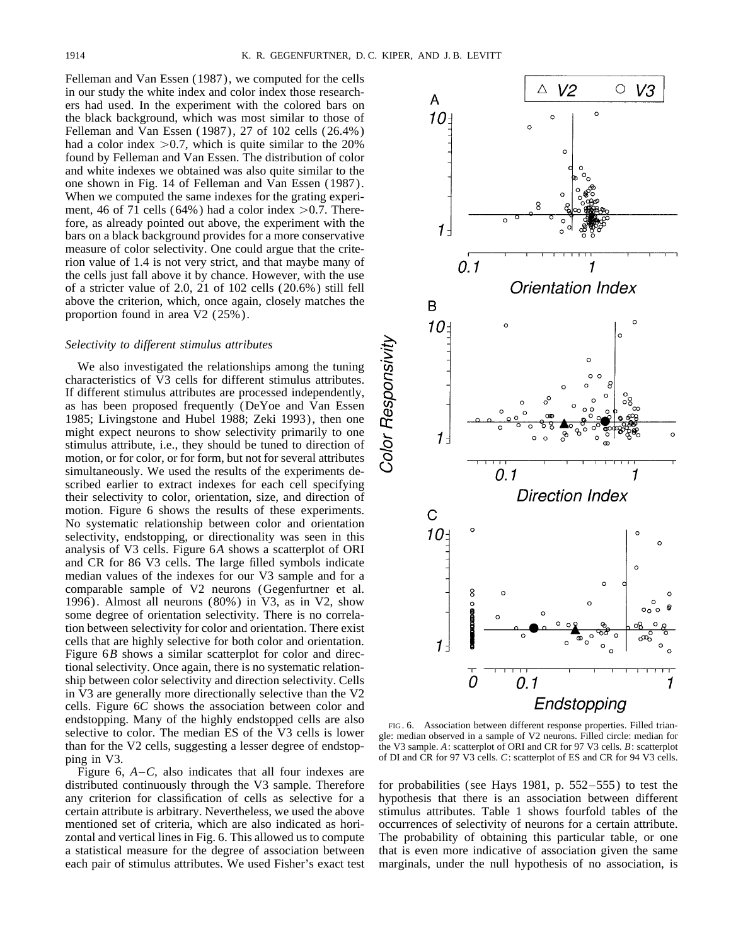Color Responsivity

Felleman and Van Essen (1987), we computed for the cells in our study the white index and color index those researchers had used. In the experiment with the colored bars on the black background, which was most similar to those of Felleman and Van Essen (1987), 27 of 102 cells (26.4%) had a color index  $>0.7$ , which is quite similar to the 20% found by Felleman and Van Essen. The distribution of color and white indexes we obtained was also quite similar to the one shown in Fig. 14 of Felleman and Van Essen (1987). When we computed the same indexes for the grating experiment, 46 of 71 cells (64%) had a color index  $>0.7$ . Therefore, as already pointed out above, the experiment with the bars on a black background provides for a more conservative measure of color selectivity. One could argue that the criterion value of 1.4 is not very strict, and that maybe many of the cells just fall above it by chance. However, with the use of a stricter value of 2.0, 21 of 102 cells (20.6%) still fell above the criterion, which, once again, closely matches the proportion found in area V2 (25%).

### *Selectivity to different stimulus attributes*

We also investigated the relationships among the tuning characteristics of V3 cells for different stimulus attributes. If different stimulus attributes are processed independently, as has been proposed frequently (DeYoe and Van Essen 1985; Livingstone and Hubel 1988; Zeki 1993), then one might expect neurons to show selectivity primarily to one stimulus attribute, i.e., they should be tuned to direction of motion, or for color, or for form, but not for several attributes simultaneously. We used the results of the experiments described earlier to extract indexes for each cell specifying their selectivity to color, orientation, size, and direction of motion. Figure 6 shows the results of these experiments. No systematic relationship between color and orientation selectivity, endstopping, or directionality was seen in this analysis of V3 cells. Figure 6*A* shows a scatterplot of ORI and CR for 86 V3 cells. The large filled symbols indicate median values of the indexes for our V3 sample and for a comparable sample of V2 neurons (Gegenfurtner et al. 1996). Almost all neurons (80%) in V3, as in V2, show some degree of orientation selectivity. There is no correlation between selectivity for color and orientation. There exist cells that are highly selective for both color and orientation. Figure 6*B* shows a similar scatterplot for color and directional selectivity. Once again, there is no systematic relationship between color selectivity and direction selectivity. Cells in V3 are generally more directionally selective than the V2 cells. Figure 6*C* shows the association between color and endstopping. Many of the highly endstopped cells are also<br>selective to color. The median ES of the V3 cells is lower<br>than for the V2 cells, suggesting a lesser degree of endstop-<br>the V3 sample. A: scatterplot of ORI and CR than for the V2 cells, suggesting a lesser degree of endstopping in V3. **of DI** and CR for 97 V3 cells. *C*: scatterplot of ES and CR for 94 V3 cells.

Figure 6, *A–C,* also indicates that all four indexes are distributed continuously through the V3 sample. Therefore for probabilities (see Hays 1981, p. 552–555) to test the



any criterion for classification of cells as selective for a hypothesis that there is an association between different certain attribute is arbitrary. Nevertheless, we used the above stimulus attributes. Table 1 shows fourfold tables of the mentioned set of criteria, which are also indicated as hori- occurrences of selectivity of neurons for a certain attribute. zontal and vertical lines in Fig. 6. This allowed us to compute The probability of obtaining this particular table, or one a statistical measure for the degree of association between that is even more indicative of association given the same each pair of stimulus attributes. We used Fisher's exact test marginals, under the null hypothesis of no association, is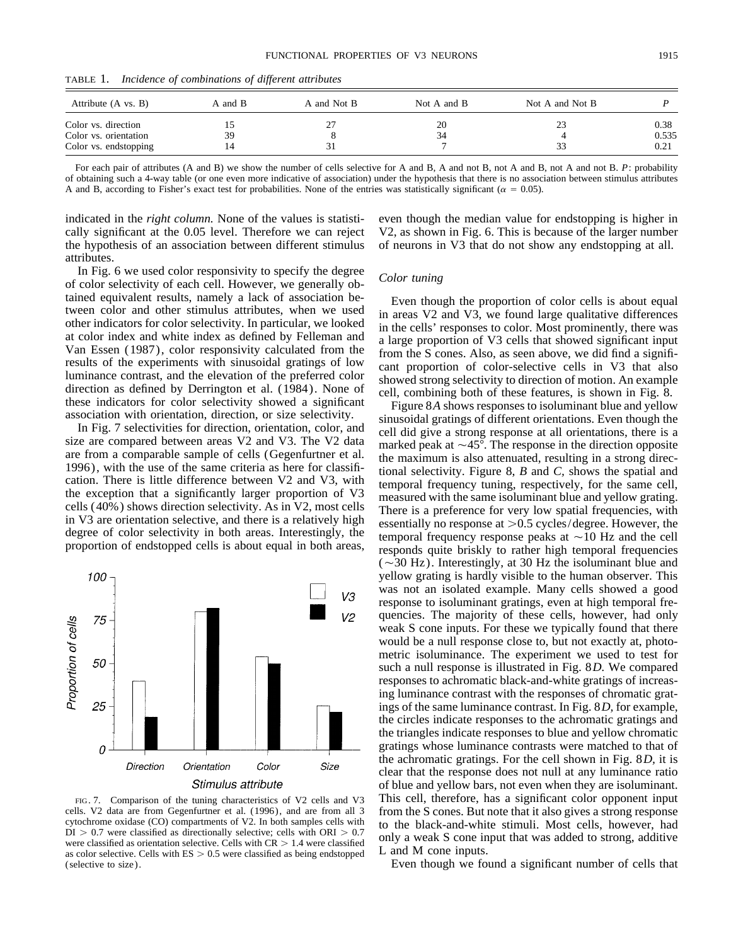| Attribute (A vs. B)   | A and B | A and Not B | Not $A$ and $B$ | Not A and Not B |       |
|-----------------------|---------|-------------|-----------------|-----------------|-------|
| Color vs. direction   |         | 27          | 20              | າເ<br>ندڪ       | 0.38  |
| Color vs. orientation | 39      |             | 34              |                 | 0.535 |
| Color vs. endstopping |         | 31          |                 | 33              | 0.21  |

TABLE 1. *Incidence of combinations of different attributes*

For each pair of attributes (A and B) we show the number of cells selective for A and B, A and not B, not A and B, not A and not B. *P*: probability of obtaining such a 4-way table (or one even more indicative of association) under the hypothesis that there is no association between stimulus attributes A and B, according to Fisher's exact test for probabilities. None of the entries was statistically significant ( $\alpha = 0.05$ ).

indicated in the *right column*. None of the values is statisti- even though the median value for endstopping is higher in cally significant at the 0.05 level. Therefore we can reject V2, as shown in Fig. 6. This is because of the larger number the hypothesis of an association between different stimulus of neurons in V3 that do not show any endstopping at all. attributes.

In Fig. 6 we used color responsivity to specify the degree of color selectivity of each cell. However, we generally ob-



cells. V2 data are from Gegenfurtner et al. (1996), and are from all 3 from the S cones. But note that it also gives a strong response cytochrome oxidase (CO) compartments of V2. In both samples cells with the hack-and-whi cytochrome oxidase (CO) compartments of V2. In both samples cells with<br>DI > 0.7 were classified as directionally selective; cells with ORI > 0.7<br>were classified as orientation selective. Cells with CR > 1.4 were classifie (selective to size). Even though we found a significant number of cells that

tained equivalent results, namely a lack of association be-<br>
twen though the proportion of color cells is about equal<br>
twen color and other stimulus attributes, when we used in areas V2 and V3, we found large qualitative degree of color selectivity in both areas. Interestingly, the temporal frequency response peaks at  $\sim$ 10 Hz and the cell proportion of endstopped cells is about equal in both areas, responds quite briskly to rather high  $(\sim 30 \text{ Hz})$ . Interestingly, at 30 Hz the isoluminant blue and yellow grating is hardly visible to the human observer. This was not an isolated example. Many cells showed a good response to isoluminant gratings, even at high temporal frequencies. The majority of these cells, however, had only weak S cone inputs. For these we typically found that there would be a null response close to, but not exactly at, photometric isoluminance. The experiment we used to test for such a null response is illustrated in Fig. 8*D.* We compared responses to achromatic black-and-white gratings of increasing luminance contrast with the responses of chromatic gratings of the same luminance contrast. In Fig. 8*D,* for example, the circles indicate responses to the achromatic gratings and the triangles indicate responses to blue and yellow chromatic gratings whose luminance contrasts were matched to that of the achromatic gratings. For the cell shown in Fig. 8*D,* it is clear that the response does not null at any luminance ratio of blue and yellow bars, not even when they are isoluminant. FIG. 7. Comparison of the tuning characteristics of V2 cells and V3 This cell, therefore, has a significant color opponent input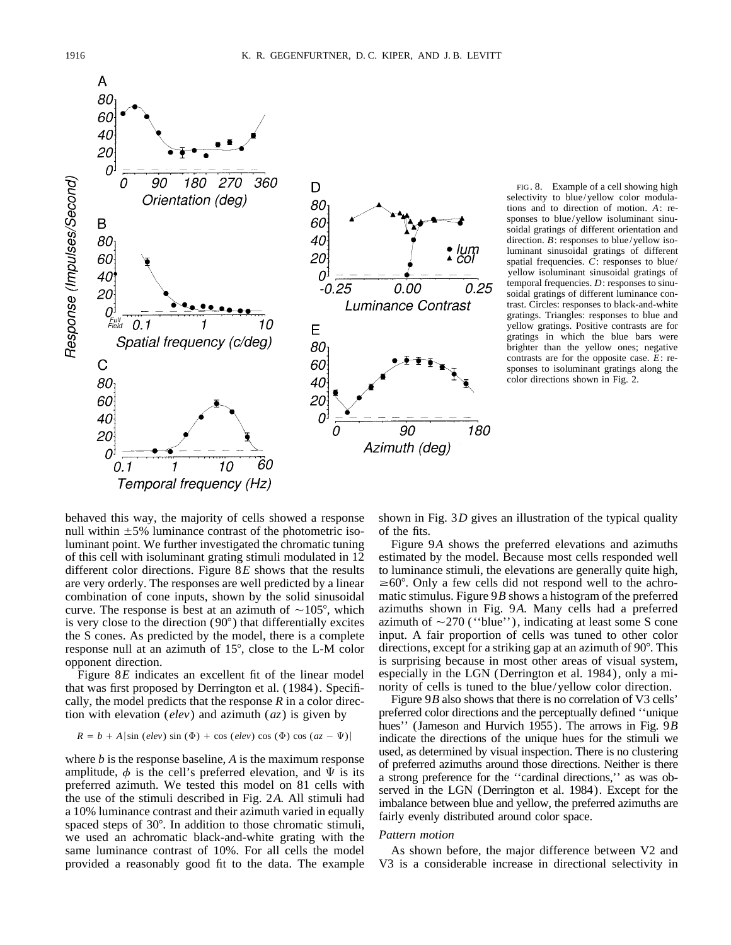

FIG. 8. Example of a cell showing high selectivity to blue/yellow color modulations and to direction of motion. *A*: responses to blue/yellow isoluminant sinusoidal gratings of different orientation and direction. *B*: responses to blue/yellow isoluminant sinusoidal gratings of different spatial frequencies. *C*: responses to blue/ yellow isoluminant sinusoidal gratings of temporal frequencies. *D*: responses to sinusoidal gratings of different luminance contrast. Circles: responses to black-and-white gratings. Triangles: responses to blue and yellow gratings. Positive contrasts are for gratings in which the blue bars were brighter than the yellow ones; negative contrasts are for the opposite case. *E*: responses to isoluminant gratings along the color directions shown in Fig. 2.

behaved this way, the majority of cells showed a response shown in Fig. 3*D* gives an illustration of the typical quality null within  $\pm 5\%$  luminance contrast of the photometric iso- of the fits. different color directions. Figure  $8E$  shows that the results

that was first proposed by Derrington et al. (1984). Specifi- nority of cells is tuned to the blue/yellow color direction.<br>
cally, the model predicts that the response R in a color direc-<br>
Figure 9B also shows that there cally, the model predicts that the response  $R$  in a color direc-

$$
R = b + A |\sin (elev) \sin (\Phi) + \cos (elev) \cos (\Phi) \cos (az - \Psi)|
$$

spaced steps of 30°. In addition to those chromatic stimuli,<br>we used an achromatic black-and-white grating with the *Pattern motion* same luminance contrast of 10%. For all cells the model As shown before, the major difference between V2 and provided a reasonably good fit to the data. The example V3 is a considerable increase in directional selectivity in

luminant point. We further investigated the chromatic tuning Figure 9*A* shows the preferred elevations and azimuths of this cell with isoluminant grating stimuli modulated in  $12$  estimated by the model. Because most cells responded well different color directions. Figure  $8E$  shows that the results to luminance stimuli, the elevations are very orderly. The responses are well predicted by a linear  $\geq 60^{\circ}$ . Only a few cells did not respond well to the achrocombination of cone inputs, shown by the solid sinusoidal matic stimulus. Figure 9*B* shows a histogram of the preferred curve. The response is best at an azimuth of  $\sim$ 105°, which azimuths shown in Fig. 9A. Many cells had a preferred is very close to the direction (90°) that differentially excites azimuth of  $\sim$ 270 ("blue"), indicating at least some S cone the S cones. As predicted by the model, there is a complete input. A fair proportion of cells was tuned to other color response null at an azimuth of 15°, close to the L-M color directions, except for a striking gap at an azimuth of 90°. This opponent direction.<br>Figure 8E indicates an excellent fit of the linear model especially in the LGN (Derrington et al. 1984), only a mi-Figure 8*E* indicates an excellent fit of the linear model especially in the LGN (Derrington et al. 1984), only a mi-<br>at was first proposed by Derrington et al. (1984). Specifi- nority of cells is tuned to the blue/yellow

tion with elevation (*elev*) and azimuth (*az*) is given by preferred color directions and the perceptually defined ''unique hues'' (Jameson and Hurvich 1955). The arrows in Fig. 9*B indicate the directions of the unique hues for the stimuli we* where *b* is the response baseline, *A* is the maximum response<br>amplitude,  $\phi$  is the cell's preferred elevation, and  $\Psi$  is its<br>preferred azimuth. We tested this model on 81 cells with<br>the use of the stimuli described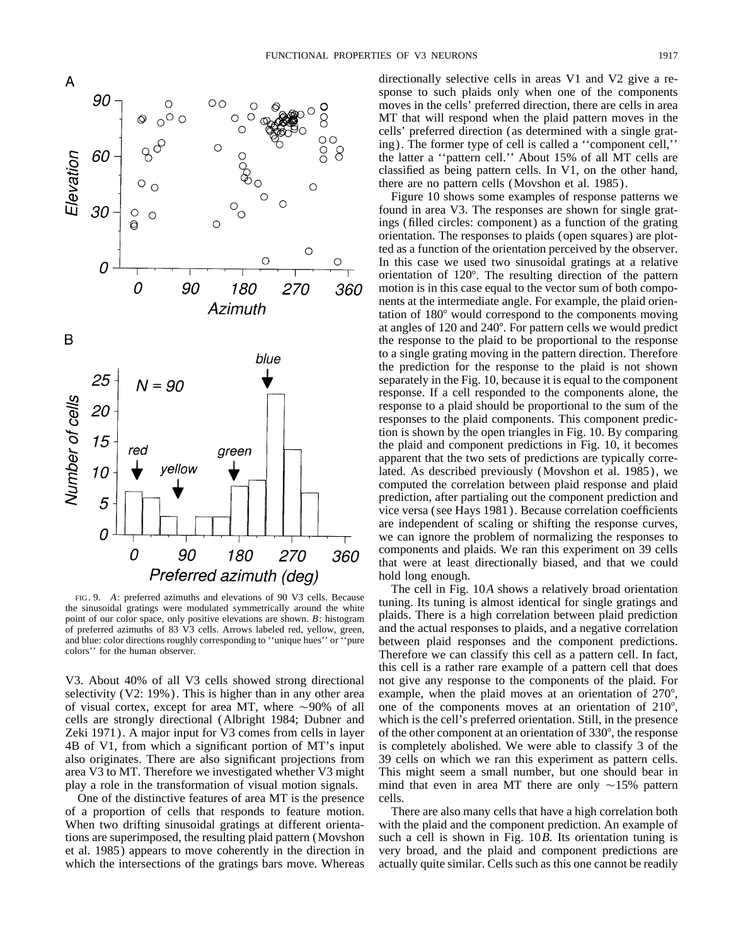



selectivity (V2: 19%). This is higher than in any other area example, when the plaid moves at an orientation of  $270^{\circ}$ , of visual cortex, except for area MT, where  $\sim$ 90% of all one of the components moves at an orientation of 210°, cells are strongly directional (Albright 1984; Dubner and which is the cell's preferred orientation. Still, in the presence Zeki 1971). A major input for V3 comes from cells in layer of the other component at an orientation of  $330^\circ$ , the response 4B of V1, from which a significant portion of MT's input is completely abolished. We were able to classify 3 of the also originates. There are also significant projections from 39 cells on which we ran this experiment as pattern cells. area V3 to MT. Therefore we investigated whether V3 might This might seem a small number, but one should bear in play a role in the transformation of visual motion signals. mind that even in area MT there are only  $\sim$ 15% pattern

One of the distinctive features of area MT is the presence cells.

directionally selective cells in areas V1 and V2 give a response to such plaids only when one of the components moves in the cells' preferred direction, there are cells in area MT that will respond when the plaid pattern moves in the cells' preferred direction (as determined with a single grating). The former type of cell is called a ''component cell,'' the latter a ''pattern cell.'' About 15% of all MT cells are classified as being pattern cells. In V1, on the other hand, there are no pattern cells (Movshon et al. 1985).

Figure 10 shows some examples of response patterns we found in area V3. The responses are shown for single gratings (filled circles: component) as a function of the grating orientation. The responses to plaids (open squares) are plotted as a function of the orientation perceived by the observer. In this case we used two sinusoidal gratings at a relative orientation of 120°. The resulting direction of the pattern motion is in this case equal to the vector sum of both components at the intermediate angle. For example, the plaid orientation of  $180^{\circ}$  would correspond to the components moving at angles of 120 and 240°. For pattern cells we would predict the response to the plaid to be proportional to the response to a single grating moving in the pattern direction. Therefore the prediction for the response to the plaid is not shown separately in the Fig. 10, because it is equal to the component response. If a cell responded to the components alone, the response to a plaid should be proportional to the sum of the responses to the plaid components. This component prediction is shown by the open triangles in Fig. 10. By comparing the plaid and component predictions in Fig. 10, it becomes apparent that the two sets of predictions are typically correlated. As described previously (Movshon et al. 1985), we computed the correlation between plaid response and plaid prediction, after partialing out the component prediction and vice versa (see Hays 1981). Because correlation coefficients are independent of scaling or shifting the response curves, we can ignore the problem of normalizing the responses to components and plaids. We ran this experiment on 39 cells that were at least directionally biased, and that we could hold long enough.

**Preferred azimuth (deg)** hold long enough.<br>
FIG. 9. A: preferred azimuths and elevations of 90 V3 cells. Because<br>
the sinusoidal gratings were modulated symmetrically around the white<br>
point of our color space, only posit and the actual responses to plaids, and a negative correlation and blue: color directions roughly corresponding to "unique hues" or "pure between plaid responses and the component predictions.<br>Therefore we can classify this cell as a pattern cell. In fact, this cell is a rather rare example of a pattern cell that does V3. About 40% of all V3 cells showed strong directional not give any response to the components of the plaid. For

of a proportion of cells that responds to feature motion. There are also many cells that have a high correlation both When two drifting sinusoidal gratings at different orienta- with the plaid and the component prediction. An example of tions are superimposed, the resulting plaid pattern (Movshon such a cell is shown in Fig. 10*B.* Its orientation tuning is et al. 1985) appears to move coherently in the direction in very broad, and the plaid and component predictions are which the intersections of the gratings bars move. Whereas actually quite similar. Cells such as this one cannot be readily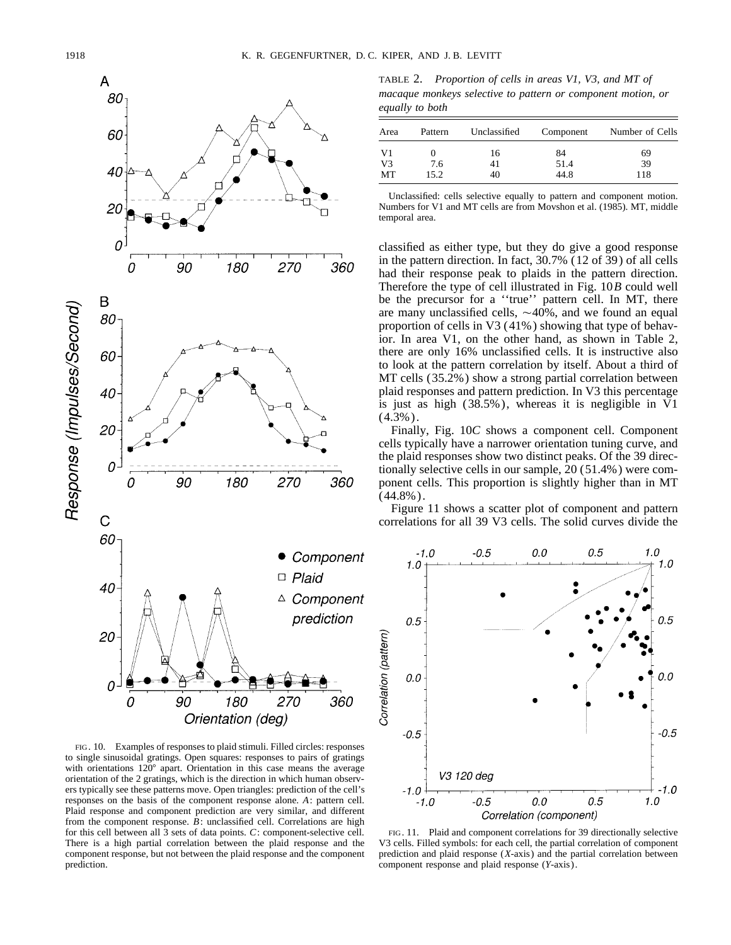

FIG. 10. Examples of responses to plaid stimuli. Filled circles: responses to single sinusoidal gratings. Open squares: responses to pairs of gratings with orientations 120° apart. Orientation in this case means the average orientation of the 2 gratings, which is the direction in which human observers typically see these patterns move. Open triangles: prediction of the cell's responses on the basis of the component response alone. *A*: pattern cell. Plaid response and component prediction are very similar, and different from the component response. *B*: unclassified cell. Correlations are high for this cell between all 3 sets of data points. *C*: component-selective cell. FIG. 11. Plaid and component correlations for 39 directionally selective There is a high partial correlation between the plaid response and the V3 cells. Filled symbols: for each cell, the partial correlation of component component response, but not between the plaid response and the component prediction and plaid response (*X*-axis) and the partial correlation between prediction. component response and plaid response (*Y*-axis).

TABLE 2. *Proportion of cells in areas V1, V3, and MT of macaque monkeys selective to pattern or component motion, or equally to both*

| Area           | Pattern | Unclassified | Component | Number of Cells |
|----------------|---------|--------------|-----------|-----------------|
| V <sub>1</sub> |         | 16           | 84        | 69              |
| V <sub>3</sub> | 7.6     | 41           | 51.4      | 39              |
| <b>MT</b>      | 15.2    | 40           | 44.8      | 118             |

Unclassified: cells selective equally to pattern and component motion. Numbers for V1 and MT cells are from Movshon et al. (1985). MT, middle temporal area.

classified as either type, but they do give a good response in the pattern direction. In fact, 30.7% (12 of 39) of all cells had their response peak to plaids in the pattern direction. Therefore the type of cell illustrated in Fig. 10*B* could well be the precursor for a ''true'' pattern cell. In MT, there are many unclassified cells,  $\sim$  40%, and we found an equal proportion of cells in V3 (41%) showing that type of behavior. In area V1, on the other hand, as shown in Table 2, there are only 16% unclassified cells. It is instructive also to look at the pattern correlation by itself. About a third of MT cells (35.2%) show a strong partial correlation between plaid responses and pattern prediction. In V3 this percentage is just as high (38.5%), whereas it is negligible in V1 (4.3%).

Finally, Fig. 10*C* shows a component cell. Component cells typically have a narrower orientation tuning curve, and the plaid responses show two distinct peaks. Of the 39 directionally selective cells in our sample, 20 (51.4%) were component cells. This proportion is slightly higher than in MT  $(44.8\%)$ .

Figure 11 shows a scatter plot of component and pattern correlations for all 39 V3 cells. The solid curves divide the

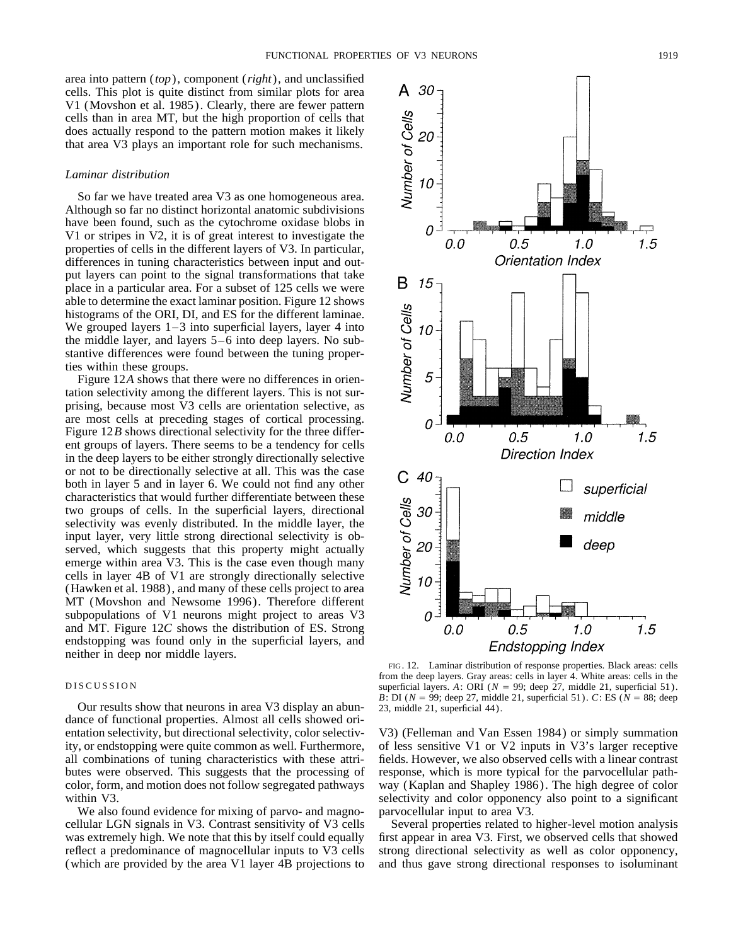area into pattern (*top*), component (*right*), and unclassified cells. This plot is quite distinct from similar plots for area V1 (Movshon et al. 1985). Clearly, there are fewer pattern cells than in area MT, but the high proportion of cells that does actually respond to the pattern motion makes it likely that area V3 plays an important role for such mechanisms.

### *Laminar distribution*

So far we have treated area V3 as one homogeneous area. Although so far no distinct horizontal anatomic subdivisions have been found, such as the cytochrome oxidase blobs in V1 or stripes in V2, it is of great interest to investigate the properties of cells in the different layers of V3. In particular, differences in tuning characteristics between input and output layers can point to the signal transformations that take place in a particular area. For a subset of 125 cells we were able to determine the exact laminar position. Figure 12 shows histograms of the ORI, DI, and ES for the different laminae. We grouped layers  $1-3$  into superficial layers, layer 4 into the middle layer, and layers 5–6 into deep layers. No substantive differences were found between the tuning properties within these groups.

Figure 12*A* shows that there were no differences in orientation selectivity among the different layers. This is not surprising, because most V3 cells are orientation selective, as are most cells at preceding stages of cortical processing. Figure 12*B* shows directional selectivity for the three different groups of layers. There seems to be a tendency for cells in the deep layers to be either strongly directionally selective or not to be directionally selective at all. This was the case both in layer 5 and in layer 6. We could not find any other characteristics that would further differentiate between these two groups of cells. In the superficial layers, directional selectivity was evenly distributed. In the middle layer, the input layer, very little strong directional selectivity is observed, which suggests that this property might actually emerge within area V3. This is the case even though many cells in layer 4B of V1 are strongly directionally selective (Hawken et al. 1988), and many of these cells project to area MT (Movshon and Newsome 1996). Therefore different subpopulations of V1 neurons might project to areas V3 and MT. Figure 12*C* shows the distribution of ES. Strong endstopping was found only in the superficial layers, and neither in deep nor middle layers.

dance of functional properties. Almost all cells showed orientation selectivity, but directional selectivity, color selectiv- V3) (Felleman and Van Essen 1984) or simply summation

We also found evidence for mixing of parvo- and magno- parvocellular input to area V3. cellular LGN signals in V3. Contrast sensitivity of V3 cells Several properties related to higher-level motion analysis was extremely high. We note that this by itself could equally first appear in area V3. First, we observed cells that showed reflect a predominance of magnocellular inputs to V3 cells strong directional selectivity as well as color opponency, (which are provided by the area V1 layer 4B projections to and thus gave strong directional responses to isoluminant



FIG. 12. Laminar distribution of response properties. Black areas: cells from the deep layers. Gray areas: cells in layer 4. White areas: cells in the DISCUSSION superficial layers. *A*: ORI ( $N = 99$ ; deep 27, middle 21, superficial 51). *B*: DI ( $N = 99$ ; deep 27, middle 21, superficial 51). *C*: ES ( $N = 88$ ; deep Our results show that neurons in area V3 display an abun- 23, middle 21, superficial 44).

ity, or endstopping were quite common as well. Furthermore, of less sensitive V1 or V2 inputs in V3's larger receptive all combinations of tuning characteristics with these attri- fields. However, we also observed cells with a linear contrast butes were observed. This suggests that the processing of response, which is more typical for the parvocellular pathcolor, form, and motion does not follow segregated pathways way (Kaplan and Shapley 1986). The high degree of color within V3. Selectivity and color opponency also point to a significant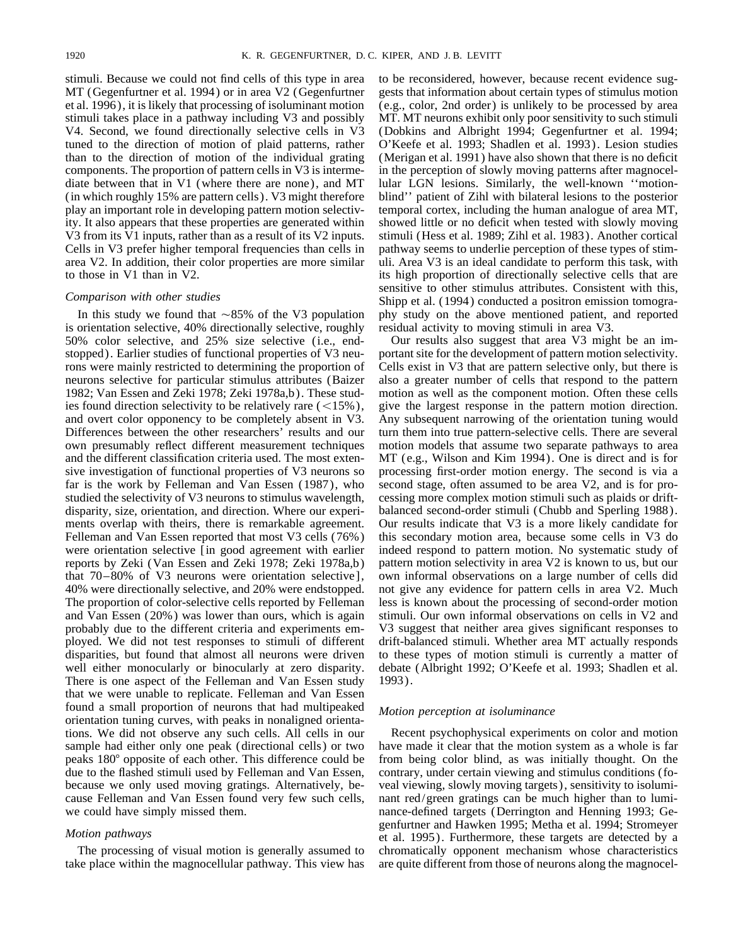components. The proportion of pattern cells in V3 is interme- in the perception of slowly moving patterns after magnocelplay an important role in developing pattern motion selectiv- temporal cortex, including the human analogue of area MT,

is orientation selective, 40% directionally selective, roughly residual activity to moving stimuli in area V3. 50% color selective, and 25% size selective (i.e., end- Our results also suggest that area V3 might be an imstopped). Earlier studies of functional properties of V3 neu- portant site for the development of pattern motion selectivity. rons were mainly restricted to determining the proportion of Cells exist in V3 that are pattern selective only, but there is neurons selective for particular stimulus attributes (Baizer also a greater number of cells that respond to the pattern 1982; Van Essen and Zeki 1978; Zeki 1978a,b). These stud- motion as well as the component motion. Often these cells ies found direction selectivity to be relatively rare  $\left($  < 15%), give the largest response in the pattern motion direction. and overt color opponency to be completely absent in V3. Any subsequent narrowing of the orientation tuning would<br>Differences between the other researchers' results and our turn them into true pattern-selective cells. Ther own presumably reflect different measurement techniques motion models that assume two separate pathways to area and the different classification criteria used. The most exten- MT (e.g., Wilson and Kim 1994). One is direct and is for sive investigation of functional properties of V3 neurons so processing first-order motion energy. The second is via a far is the work by Felleman and Van Essen (1987), who second stage, often assumed to be area V2, and is for prostudied the selectivity of V3 neurons to stimulus wavelength, cessing more complex motion stimuli such as plaids or driftdisparity, size, orientation, and direction. Where our experi- balanced second-order stimuli (Chubb and Sperling 1988). ments overlap with theirs, there is remarkable agreement. Our results indicate that V3 is a more likely candidate for Felleman and Van Essen reported that most V3 cells (76%) this secondary motion area, because some cells in V3 do were orientation selective [in good agreement with earlier indeed respond to pattern motion. No systematic study of reports by Zeki (Van Essen and Zeki 1978; Zeki 1978a,b) pattern motion selectivity in area V2 is known to us, but our that 70–80% of V3 neurons were orientation selective], own informal observations on a large number of cells did 40% were directionally selective, and 20% were endstopped. not give any evidence for pattern cells in area V2. Much The proportion of color-selective cells reported by Felleman less is known about the processing of second-order motion and Van Essen (20%) was lower than ours, which is again stimuli. Our own informal observations on cells in V2 and probably due to the different criteria and experiments em- V3 suggest that neither area gives significant responses to ployed. We did not test responses to stimuli of different drift-balanced stimuli. Whether area MT actually responds disparities, but found that almost all neurons were driven to these types of motion stimuli is currently a matter of well either monocularly or binocularly at zero disparity. debate (Albright 1992; O'Keefe et al. 1993; Shadlen et al. There is one aspect of the Felleman and Van Essen study 1993). that we were unable to replicate. Felleman and Van Essen found a small proportion of neurons that had multipeaked *Motion perception at isoluminance* orientation tuning curves, with peaks in nonaligned orientations. We did not observe any such cells. All cells in our Recent psychophysical experiments on color and motion because we only used moving gratings. Alternatively, be- veal viewing, slowly moving targets), sensitivity to isolumi-

stimuli. Because we could not find cells of this type in area to be reconsidered, however, because recent evidence sug-MT (Gegenfurtner et al. 1994) or in area V2 (Gegenfurtner gests that information about certain types of stimulus motion et al. 1996), it is likely that processing of isoluminant motion (e.g., color, 2nd order) is unlikely to be processed by area stimuli takes place in a pathway including V3 and possibly MT. MT neurons exhibit only poor sensitivity to such stimuli V4. Second, we found directionally selective cells in V3 (Dobkins and Albright 1994; Gegenfurtner et al. 1994; tuned to the direction of motion of plaid patterns, rather O'Keefe et al. 1993; Shadlen et al. 1993). Lesion studies than to the direction of motion of the individual grating (Merigan et al. 1991) have also shown that there is no deficit diate between that in V1 (where there are none), and MT lular LGN lesions. Similarly, the well-known ''motion- (in which roughly 15% are pattern cells). V3 might therefore blind'' patient of Zihl with bilateral lesions to the posterior ity. It also appears that these properties are generated within showed little or no deficit when tested with slowly moving V3 from its V1 inputs, rather than as a result of its V2 inputs. stimuli (Hess et al. 1989; Zihl et al. 1983). Another cortical Cells in V3 prefer higher temporal frequencies than cells in pathway seems to underlie perception of these types of stimarea V2. In addition, their color properties are more similar uli. Area V3 is an ideal candidate to perform this task, with to those in V1 than in V2. its high proportion of directionally selective cells that are sensitive to other studies<br> *Comparison with other studies* Shipp et al. (1994) conducted a positron emission tomogra-In this study we found that  $\sim$ 85% of the V3 population phy study on the above mentioned patient, and reported

turn them into true pattern-selective cells. There are several

sample had either only one peak (directional cells) or two have made it clear that the motion system as a whole is far peaks 1807 opposite of each other. This difference could be from being color blind, as was initially thought. On the due to the flashed stimuli used by Felleman and Van Essen, contrary, under certain viewing and stimulus conditions (focause Felleman and Van Essen found very few such cells, nant red/green gratings can be much higher than to lumiwe could have simply missed them. The nance-defined targets (Derrington and Henning 1993; Gegenfurtner and Hawken 1995; Metha et al. 1994; Stromeyer *Motion pathways* et al. 1995). Furthermore, these targets are detected by a The processing of visual motion is generally assumed to chromatically opponent mechanism whose characteristics take place within the magnocellular pathway. This view has are quite different from those of neurons along the magnocel-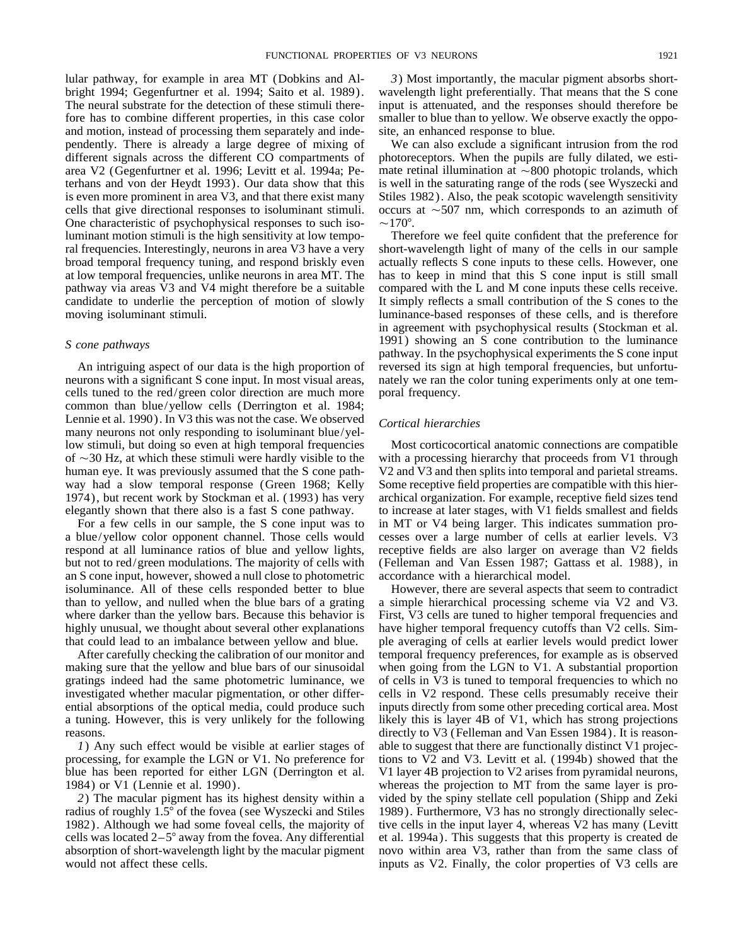lular pathway, for example in area MT (Dobkins and Al- *3*) Most importantly, the macular pigment absorbs shortbright 1994; Gegenfurtner et al. 1994; Saito et al. 1989). wavelength light preferentially. That means that the S cone The neural substrate for the detection of these stimuli there- input is attenuated, and the responses should therefore be fore has to combine different properties, in this case color smaller to blue than to yellow. We observe exactly the oppoand motion, instead of processing them separately and inde- site, an enhanced response to blue. pendently. There is already a large degree of mixing of We can also exclude a significant intrusion from the rod different signals across the different CO compartments of photoreceptors. When the pupils are fully dilated, we estiarea V2 (Gegenfurtner et al. 1996; Levitt et al. 1994a; Pe- mate retinal illumination at  $\sim$ 800 photopic trolands, which terhans and von der Heydt 1993). Our data show that this is well in the saturating range of the rods (see Wyszecki and is even more prominent in area V3, and that there exist many Stiles 1982). Also, the peak scotopic wavelength sensitivity cells that give directional responses to isoluminant stimuli. occurs at  $\sim$ 507 nm, which corresponds to an azimuth of One characteristic of psychophysical responses to such iso- $\sim$ 170°. luminant motion stimuli is the high sensitivity at low tempo- Therefore we feel quite confident that the preference for ral frequencies. Interestingly, neurons in area V3 have a very short-wavelength light of many of the cells in our sample broad temporal frequency tuning, and respond briskly even actually reflects S cone inputs to these cells. However, one at low temporal frequencies, unlike neurons in area MT. The has to keep in mind that this S cone input is still small pathway via areas V3 and V4 might therefore be a suitable compared with the L and M cone inputs these cells receive. candidate to underlie the perception of motion of slowly It simply reflects a small contribution of the S cones to the moving isoluminant stimuli. luminance-based responses of these cells, and is therefore

neurons with a significant S cone input. In most visual areas, nately we ran the color tuning experiments only at one temcells tuned to the red/green color direction are much more poral frequency. common than blue/yellow cells (Derrington et al. 1984; Lennie et al. 1990). In V3 this was not the case. We observed *Cortical hierarchies* many neurons not only responding to isoluminant blue/yellow stimuli, but doing so even at high temporal frequencies Most corticocortical anatomic connections are compatible of  $\sim$ 30 Hz, at which these stimuli were hardly visible to the with a processing hierarchy that proceeds from V1 through human eye. It was previously assumed that the S cone path- V2 and V3 and then splits into temporal and parietal streams. elegantly shown that there also is a fast S cone pathway. to increase at later stages, with V1 fields smallest and fields

a blue/yellow color opponent channel. Those cells would cesses over a large number of cells at earlier levels. V3 respond at all luminance ratios of blue and yellow lights, receptive fields are also larger on average than V2 fields but not to red/green modulations. The majority of cells with (Felleman and Van Essen 1987; Gattass et al. 1988), in an S cone input, however, showed a null close to photometric accordance with a hierarchical model. isoluminance. All of these cells responded better to blue However, there are several aspects that seem to contradict than to yellow, and nulled when the blue bars of a grating a simple hierarchical processing scheme via V2 and V3. where darker than the yellow bars. Because this behavior is First, V3 cells are tuned to higher temporal frequencies and highly unusual, we thought about several other explanations have higher temporal frequency cutoffs than V2 cells. Sim-

making sure that the yellow and blue bars of our sinusoidal when going from the LGN to V1. A substantial proportion gratings indeed had the same photometric luminance, we of cells in V3 is tuned to temporal frequencies to which no investigated whether macular pigmentation, or other differ- cells in V2 respond. These cells presumably receive their ential absorptions of the optical media, could produce such inputs directly from some other preceding cortical area. Most a tuning. However, this is very unlikely for the following likely this is layer 4B of V1, which has strong projections reasons. directly to V3 (Felleman and Van Essen 1984). It is reason-

processing, for example the LGN or V1. No preference for tions to V2 and V3. Levitt et al. (1994b) showed that the blue has been reported for either LGN (Derrington et al. V1 layer 4B projection to V2 arises from pyramidal neurons,

radius of roughly 1.5° of the fovea (see Wyszecki and Stiles 1989). Furthermore, V3 has no strongly directionally selec-1982). Although we had some foveal cells, the majority of tive cells in the input layer 4, whereas V2 has many (Levitt cells was located  $2-5^\circ$  away from the fovea. Any differential et al. 1994a). This suggests that this property is created de absorption of short-wavelength light by the macular pigment novo within area V3, rather than from the same class of would not affect these cells. **inputs as V2**. Finally, the color properties of V3 cells are

in agreement with psychophysical results (Stockman et al. 1991) showing an S cone contribution to the luminance<br> *S cone pathways* pathway. In the psychophysical experiments the S cone input An intriguing aspect of our data is the high proportion of reversed its sign at high temporal frequencies, but unfortu-

way had a slow temporal response (Green 1968; Kelly Some receptive field properties are compatible with this hier-1974), but recent work by Stockman et al. (1993) has very archical organization. For example, receptive field sizes tend For a few cells in our sample, the S cone input was to in MT or V4 being larger. This indicates summation pro-

that could lead to an imbalance between yellow and blue. ple averaging of cells at earlier levels would predict lower After carefully checking the calibration of our monitor and temporal frequency preferences, for example as is observed *1*) Any such effect would be visible at earlier stages of able to suggest that there are functionally distinct V1 projec-1984) or V1 (Lennie et al. 1990). whereas the projection to MT from the same layer is pro-*2*) The macular pigment has its highest density within a vided by the spiny stellate cell population (Shipp and Zeki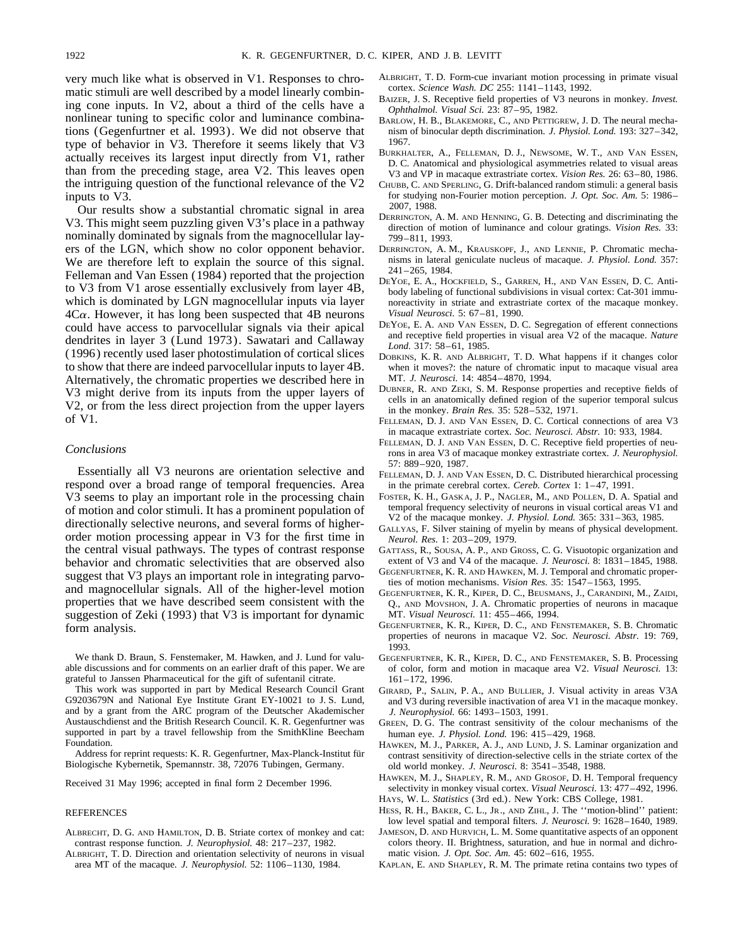matic stimuli are well described by a model linearly combin-<br>
BAIZER, J. S. Receptive field properties of V3 neurons in monkey. *Invest.* ing cone inputs. In V2, about a third of the cells have a *Ophthalmol. Visual Sci. 23*: 87–95, 1982.<br>nonlinear tuning to specific color and luminance combina-<br>BARLOW, H. B., BLAKEMORE, C., AND PETTIGREW, J. D. The neural m tions (Gegenfurtner et al. 1993). We did not observe that nism of binocular depth discrimination. *J. Physiol. Lond.* 193: 327–342, type of behavior in V2. Therefore, it seems likely that V2. 1967. type of behavior in V3. Therefore it seems likely that V3  $^{1967}$ .<br>actually receives its largest input directly from V1, rather  $^{1967}$ .<br>b.C. Anatomical and physiological asymmetries related to visual areas<br>than from th the intriguing question of the functional relevance of the V2 CHUBB, C. AND SPERLING, G. Drift-balanced random stimuli: a general basis

Our results show a substantial chromatic signal in area  $\frac{2007}{\text{DERINGTON}}$ , A. M. AND HENNING, G. B. Detecting and discriminating the nominally dominated by signals from the magnocellular lay-<br>ers of the LGN, which show no color opponent behavior. DERRINGTON, A.M., KRAUSKOPF, J., AND LENNIE, P. Chromatic mechaers of the LGN, which show no color opponent behavior. DERRINGTON, A. M., KRAUSKOPF, J., AND LENNIE, P. Chromatic mecha-<br>We are therefore left to explain the source of this signal misms in lateral geniculate nucleus of mac We are therefore left to explain the source of this signal. nisms in lateral Following ord Van Essen (1984) reported that the projection  $241-265$ , 1984. Felleman and Van Essen (1984) reported that the projection<br>to V3 from V1 arose essentially exclusively from layer 4B,  $\frac{\text{DEYoe, E. A., HocKFELD, S., GARREN, H., AND VAN ESSEN, D. C. Anti-  
body labeling of functional subdivisions in visual cortex: Cat-301 immu 4C\alpha$ . However, it has long been suspected that  $4B$  neurons *Visual Neurosci.* 5: 67–81, 1990.<br>
could have access to parvocallular signals via their apical  $DEY$  OE, E. A. AND VAN ESSEN, D. C. Segregation of efferent con could have access to parvocellular signals via their apical<br>dendrites in layer 3 (Lund 1973). Sawatari and Callaway<br>(1996) recently used laser photostimulation of cortical slices<br>(1996) recently used laser photostimulation to show that there are indeed parvocellular inputs to layer 4B. when it moves?: the nature of chromatic input to macaque visual area<br>Alternatively the chromatic properties we described here in MT. J. Neurosci. 14: 4854–487 Alternatively, the chromatic properties we described here in MT. *J. Neurosci.* 14: 4854–4870, 1994.<br>V3 might derive from its inputs from the unner layers of DUBNER, R. AND ZEKI, S. M. Response properties and receptive fie V3 might derive from its inputs from the upper layers of<br>V2, or from the less direct projection from the upper layers<br>of W1.<br>TELLEMAN, D. J. AND VAN ESSEN, D.C. Cortical connections of area V3

Essentially all V3 neurons are orientation selective and FELLEMAN, D. J. AND VAN ESSEN, D. C. Distributed hierarchical processing spond over a broad range of temporal frequencies. Area in the primate cerebral cortex. Cereb respond over a broad range of temporal frequencies. Area of motion and color stimuli. It has a prominent population of<br>directionally selective neurons, and several forms of higher-<br>order motion processing appear in V3 for the first time in<br> $V^2$  of the macaque monkey. J. Physiol the central visual pathways. The types of contrast response GATTASS, R., SousA, A. P., AND GROSS, C. G. Visuotopic organization and<br>hebavior and chromatic selectivities that are observed also extent of V3 and V4 of the mac behavior and chromatic selectivities that are observed also extent of V3 and V4 of the macaque. *J. Neurosci.* 8: 1831–1845, 1988.<br>
GEGENFURTNER, K. R. AND HAWKEN, M. J. Temporal and chromatic propersuggest that V3 plays an important role in integrating parvo-<br>and magnocellular signals. All of the higher-level motion<br>properties that we have described seem consistent with the<br> $Q_{\text{AND} \text{ AND} \text{ AND} \text{ MOVSEON} \times K. \text{ R.}, \text{ K$ suggestion of Zeki (1993) that V3 is important for dynamic MT. *Visual Neurosci.* 11: 455–466, 1994.

We thank D. Braun, S. Fenstemaker, M. Hawken, and J. Lund for valu-<br>able discussions and for comments on an earlier draft of this paper. We are of color, form and motion in macaque area V2. Visual Neurosci. 13: grateful to Janssen Pharmaceutical for the gift of sufentanil citrate. 161–172, 1996.<br>This work was supported in part by Medical Research Council Grant GIRARD, P., SALIN

G9203679N and National Eye Institute Grant EY-10021 to J.S. Lund, and V3 during reversible inactivation of area V1 in the macaque monkey. and by a grant from the ARC program of the Deutscher Akademischer *J. Neurophysiol.* 66: 1493–1503, 1991.<br>Austauschdienst and the British Research Council. K. R. Gegenfurtner was GREEN. D. G. The contrast sensitivity of supported in part by a travel fellowship from the SmithKline Beecham Foundation.

- ALBRECHT, D. G. AND HAMILTON, D. B. Striate cortex of monkey and cat:
- ALBRIGHT, T. D. Direction and orientation selectivity of neurons in visual area MT of the macaque. *J. Neurophysiol.* 52: 1106–1130, 1984. KAPLAN, E. AND SHAPLEY, R. M. The primate retina contains two types of
- very much like what is observed in V1. Responses to chro-<br>matic stimuli are wall described by a model linearly combinently correx. Science Wash. DC 255: 1141-1143, 1992.
	-
	-
	-
- inputs to V3.<br>Currently show a substantial abramatic signal in ages 2007, 1988.<br> $\frac{2007}{1988}$
- DERRINGTON, A. M. AND HENNING, G. B. Detecting and discriminating the V3. This might seem puzzling given V3's place in a pathway direction of motion of luminance and colour gratings. *Vision Res.* 33:
	-
- which is dominated by LGN magnocellular inputs via layer noreactivity in striate and extrastriate cortex of the macaque monkey.
	-
	-
	-
	- in macaque extrastriate cortex. *Soc. Neurosci. Abstr.* 10: 933, 1984.
- FELLEMAN, D. J. AND VAN ESSEN, D. C. Receptive field properties of neu-<br>
rons in area V3 of macaque monkey extrastriate cortex. *J. Neurophysiol.*<br>
57: 889–920. 1987
	-
- V3 seems to play an important role in the processing chain FOSTER, K. H., GASKA, J. P., NAGLER, M., AND POLLEN, D. A. Spatial and color stimuli It has a prominent population of temporal frequency selectivity of neurons in
	-
	-
	-
	-
- GEGENFURTNER, K. R., KIPER, D. C., AND FENSTEMAKER, S. B. Chromatic form analysis. properties of neurons in macaque V2. *Soc. Neurosci. Abstr.* 19: 769, 1993.
	- of color, form and motion in macaque area V2. *Visual Neurosci*. 13:
	- GIRARD, P., SALIN, P. A., AND BULLIER, J. Visual activity in areas V3A
	- GREEN, D. G. The contrast sensitivity of the colour mechanisms of the human eye. J. Physiol. Lond. 196: 415–429, 1968.
- Foundation.<br>
Address for reprint requests: K. R. Gegenfurtner, Max-Planck-Institut für<br>
Biologische Kybernetik, Spemannstr. 38, 72076 Tubingen, Germany.<br>
Biologische Kybernetik, Spemannstr. 38, 72076 Tubingen, Germany.<br>
an
- Received 31 May 1996; accepted in final form 2 December 1996. HAWKEN, M. J., SHAPLEY, R. M., AND GROSOF, D. H. Temporal frequency selectivity in monkey visual cortex. *Visual Neurosci*. 13: 477–492, 1996. HAYS, W. L. *Statistics* (3rd ed.). New York: CBS College, 1981.
- REFERENCES HESS, R. H., BAKER, C. L., JR., AND ZIHL, J. The "motion-blind" patient:
	- low level spatial and temporal filters. *J. Neurosci.* 9: 1628–1640, 1989. contrast response function. *J. Neurophysiol.* 48: 217–237, 1982. colors theory. II. Brightness, saturation, and hue in normal and dichro-<br>LBRIGHT, T. D. Direction and orientation selectivity of neurons in visual matic vis
		-